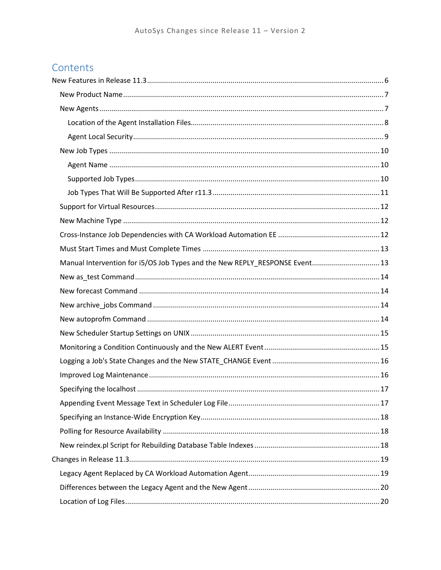# Contents

| Manual Intervention for i5/OS Job Types and the New REPLY_RESPONSE Event 13 |  |
|-----------------------------------------------------------------------------|--|
|                                                                             |  |
|                                                                             |  |
|                                                                             |  |
|                                                                             |  |
|                                                                             |  |
|                                                                             |  |
|                                                                             |  |
|                                                                             |  |
|                                                                             |  |
|                                                                             |  |
|                                                                             |  |
|                                                                             |  |
|                                                                             |  |
|                                                                             |  |
|                                                                             |  |
|                                                                             |  |
|                                                                             |  |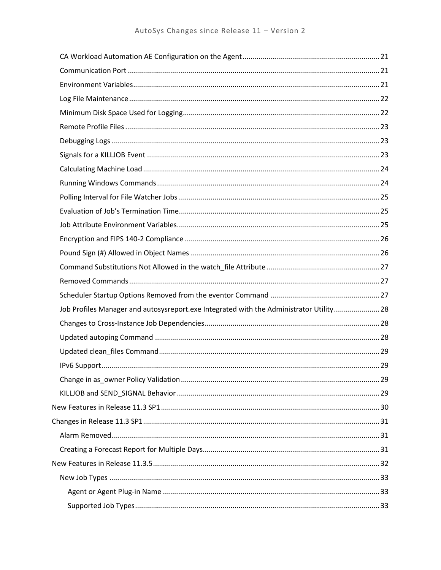| Job Profiles Manager and autosysreport.exe Integrated with the Administrator Utility 28 |  |
|-----------------------------------------------------------------------------------------|--|
|                                                                                         |  |
|                                                                                         |  |
|                                                                                         |  |
|                                                                                         |  |
|                                                                                         |  |
|                                                                                         |  |
|                                                                                         |  |
|                                                                                         |  |
|                                                                                         |  |
|                                                                                         |  |
|                                                                                         |  |
|                                                                                         |  |
|                                                                                         |  |
|                                                                                         |  |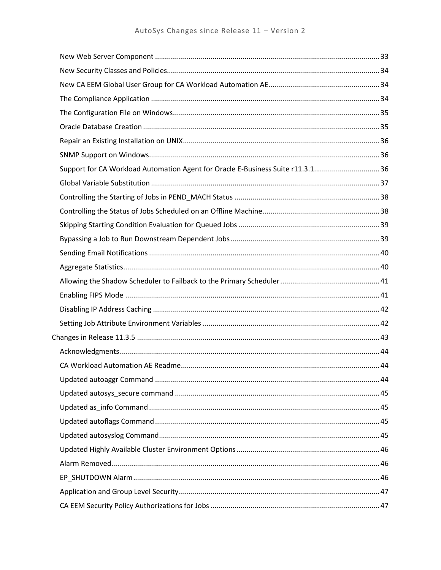| Support for CA Workload Automation Agent for Oracle E-Business Suite r11.3.136 |  |
|--------------------------------------------------------------------------------|--|
|                                                                                |  |
|                                                                                |  |
|                                                                                |  |
|                                                                                |  |
|                                                                                |  |
|                                                                                |  |
|                                                                                |  |
|                                                                                |  |
|                                                                                |  |
|                                                                                |  |
|                                                                                |  |
|                                                                                |  |
|                                                                                |  |
|                                                                                |  |
|                                                                                |  |
|                                                                                |  |
|                                                                                |  |
|                                                                                |  |
|                                                                                |  |
|                                                                                |  |
|                                                                                |  |
|                                                                                |  |
|                                                                                |  |
|                                                                                |  |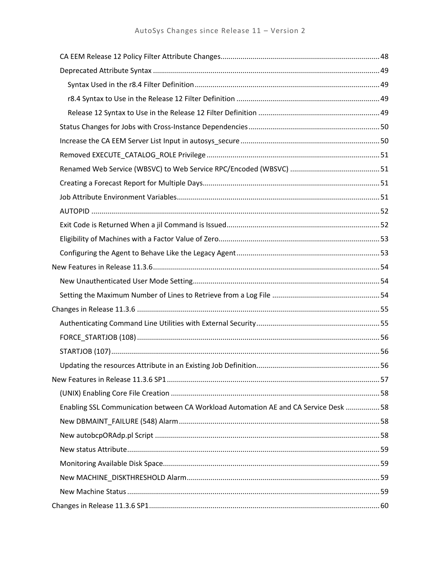| Enabling SSL Communication between CA Workload Automation AE and CA Service Desk  58 |  |
|--------------------------------------------------------------------------------------|--|
|                                                                                      |  |
|                                                                                      |  |
|                                                                                      |  |
|                                                                                      |  |
|                                                                                      |  |
|                                                                                      |  |
|                                                                                      |  |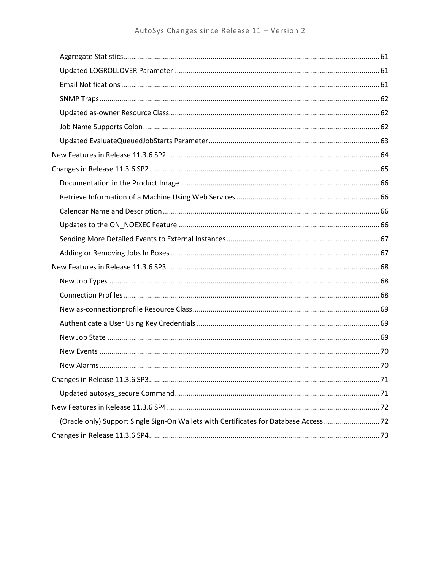| (Oracle only) Support Single Sign-On Wallets with Certificates for Database Access 72 |  |
|---------------------------------------------------------------------------------------|--|
|                                                                                       |  |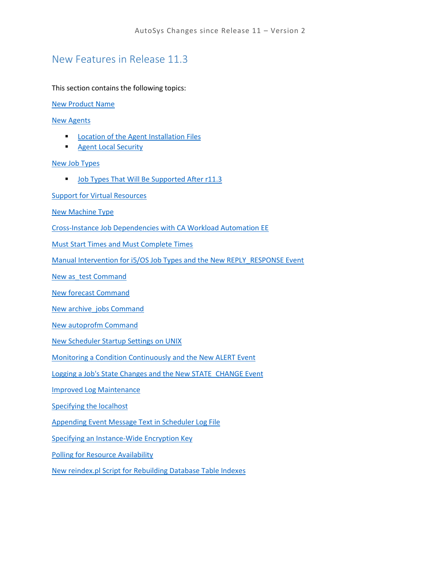# <span id="page-5-0"></span>New Features in Release 11.3

This section contains the following topics:

[New Product Name](#page-5-1)

[New Agents](#page-6-1)

- **[Location of the Agent Installation Files](#page-7-0)**
- **[Agent Local Security](#page-7-1)**

#### [New Job Types](#page-9-0)

**[Job Types That Will Be Supported After r11.3](#page-10-0)** 

[Support for Virtual Resources](#page-11-0)

[New Machine Type](#page-11-1)

[Cross-Instance Job Dependencies with CA Workload Automation EE](#page-11-2)

[Must Start Times and Must Complete Times](#page-12-2)

[Manual Intervention for i5/OS Job Types and the New REPLY\\_RESPONSE Event](#page-12-1)

[New as\\_test Command](#page-12-3)

[New forecast Command](#page-13-1)

New archive jobs Command

[New autoprofm Command](#page-13-3)

[New Scheduler Startup Settings on UNIX](#page-14-0)

[Monitoring a Condition Continuously and the New ALERT Event](#page-14-1)

[Logging a Job's State Changes and the New STATE\\_CHANGE Event](#page-15-0)

[Improved Log Maintenance](#page-15-1)

[Specifying the localhost](#page-15-2)

[Appending Event Message Text in Scheduler Log File](#page-16-1)

[Specifying an Instance-Wide Encryption Key](#page-16-2)

[Polling for Resource Availability](#page-17-1)

<span id="page-5-1"></span>[New reindex.pl Script for Rebuilding Database Table Indexes](#page-17-2)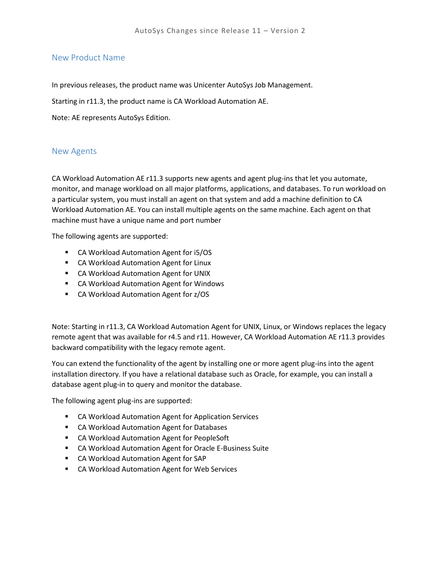#### <span id="page-6-0"></span>New Product Name

In previous releases, the product name was Unicenter AutoSys Job Management.

Starting in r11.3, the product name is CA Workload Automation AE.

Note: AE represents AutoSys Edition.

#### <span id="page-6-1"></span>New Agents

CA Workload Automation AE r11.3 supports new agents and agent plug-ins that let you automate, monitor, and manage workload on all major platforms, applications, and databases. To run workload on a particular system, you must install an agent on that system and add a machine definition to CA Workload Automation AE. You can install multiple agents on the same machine. Each agent on that machine must have a unique name and port number

The following agents are supported:

- CA Workload Automation Agent for i5/OS
- **E** CA Workload Automation Agent for Linux
- **E** CA Workload Automation Agent for UNIX
- CA Workload Automation Agent for Windows
- CA Workload Automation Agent for z/OS

Note: Starting in r11.3, CA Workload Automation Agent for UNIX, Linux, or Windows replaces the legacy remote agent that was available for r4.5 and r11. However, CA Workload Automation AE r11.3 provides backward compatibility with the legacy remote agent.

You can extend the functionality of the agent by installing one or more agent plug-ins into the agent installation directory. If you have a relational database such as Oracle, for example, you can install a database agent plug-in to query and monitor the database.

The following agent plug-ins are supported:

- CA Workload Automation Agent for Application Services
- **E** CA Workload Automation Agent for Databases
- CA Workload Automation Agent for PeopleSoft
- CA Workload Automation Agent for Oracle E-Business Suite
- CA Workload Automation Agent for SAP
- CA Workload Automation Agent for Web Services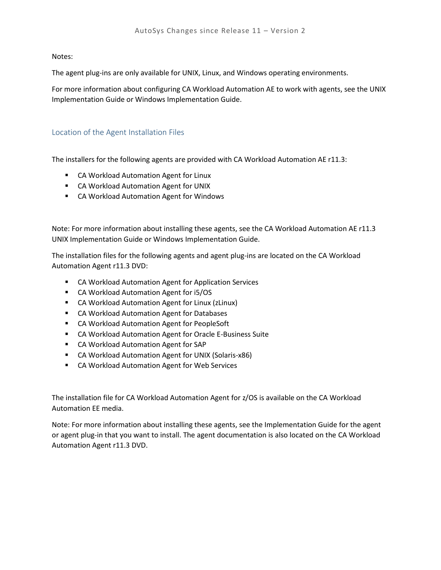Notes:

The agent plug-ins are only available for UNIX, Linux, and Windows operating environments.

For more information about configuring CA Workload Automation AE to work with agents, see the UNIX Implementation Guide or Windows Implementation Guide.

#### <span id="page-7-0"></span>Location of the Agent Installation Files

The installers for the following agents are provided with CA Workload Automation AE r11.3:

- **E** CA Workload Automation Agent for Linux
- **E** CA Workload Automation Agent for UNIX
- **E** CA Workload Automation Agent for Windows

Note: For more information about installing these agents, see the CA Workload Automation AE r11.3 UNIX Implementation Guide or Windows Implementation Guide.

The installation files for the following agents and agent plug-ins are located on the CA Workload Automation Agent r11.3 DVD:

- CA Workload Automation Agent for Application Services
- CA Workload Automation Agent for i5/OS
- CA Workload Automation Agent for Linux (zLinux)
- **EXEC** CA Workload Automation Agent for Databases
- CA Workload Automation Agent for PeopleSoft
- CA Workload Automation Agent for Oracle E-Business Suite
- **E** CA Workload Automation Agent for SAP
- CA Workload Automation Agent for UNIX (Solaris-x86)
- **EXEC** CA Workload Automation Agent for Web Services

The installation file for CA Workload Automation Agent for z/OS is available on the CA Workload Automation EE media.

<span id="page-7-1"></span>Note: For more information about installing these agents, see the Implementation Guide for the agent or agent plug-in that you want to install. The agent documentation is also located on the CA Workload Automation Agent r11.3 DVD.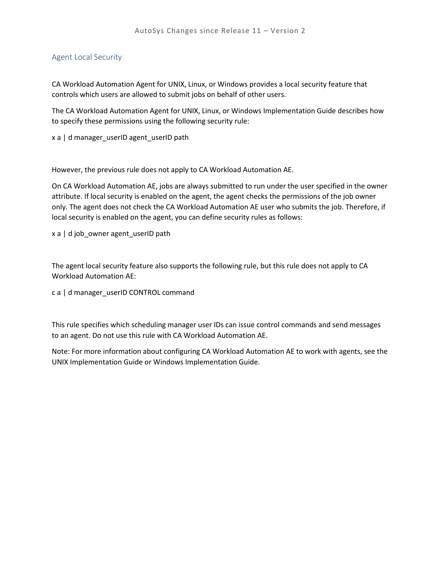#### <span id="page-8-0"></span>Agent Local Security

CA Workload Automation Agent for UNIX, Linux, or Windows provides a local security feature that controls which users are allowed to submit jobs on behalf of other users.

The CA Workload Automation Agent for UNIX, Linux, or Windows Implementation Guide describes how to specify these permissions using the following security rule:

x a | d manager\_userID agent\_userID path

However, the previous rule does not apply to CA Workload Automation AE.

On CA Workload Automation AE, jobs are always submitted to run under the user specified in the owner attribute. If local security is enabled on the agent, the agent checks the permissions of the job owner only. The agent does not check the CA Workload Automation AE user who submits the job. Therefore, if local security is enabled on the agent, you can define security rules as follows:

x a | d job\_owner agent\_userID path

The agent local security feature also supports the following rule, but this rule does not apply to CA Workload Automation AE:

c a | d manager\_userID CONTROL command

This rule specifies which scheduling manager user IDs can issue control commands and send messages to an agent. Do not use this rule with CA Workload Automation AE.

Note: For more information about configuring CA Workload Automation AE to work with agents, see the UNIX Implementation Guide or Windows Implementation Guide.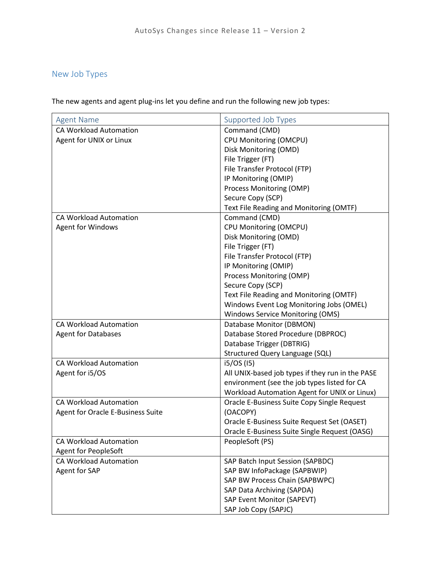## <span id="page-9-0"></span>New Job Types

The new agents and agent plug-ins let you define and run the following new job types:

<span id="page-9-2"></span><span id="page-9-1"></span>

| <b>Agent Name</b>                 | Supported Job Types                              |
|-----------------------------------|--------------------------------------------------|
| <b>CA Workload Automation</b>     | Command (CMD)                                    |
| Agent for UNIX or Linux           | CPU Monitoring (OMCPU)                           |
|                                   | Disk Monitoring (OMD)                            |
|                                   | File Trigger (FT)                                |
|                                   | File Transfer Protocol (FTP)                     |
|                                   | IP Monitoring (OMIP)                             |
|                                   | Process Monitoring (OMP)                         |
|                                   | Secure Copy (SCP)                                |
|                                   | Text File Reading and Monitoring (OMTF)          |
| <b>CA Workload Automation</b>     | Command (CMD)                                    |
| <b>Agent for Windows</b>          | CPU Monitoring (OMCPU)                           |
|                                   | Disk Monitoring (OMD)                            |
|                                   | File Trigger (FT)                                |
|                                   | File Transfer Protocol (FTP)                     |
|                                   | IP Monitoring (OMIP)                             |
|                                   | Process Monitoring (OMP)                         |
|                                   | Secure Copy (SCP)                                |
|                                   | Text File Reading and Monitoring (OMTF)          |
|                                   | Windows Event Log Monitoring Jobs (OMEL)         |
|                                   | <b>Windows Service Monitoring (OMS)</b>          |
| <b>CA Workload Automation</b>     | Database Monitor (DBMON)                         |
| <b>Agent for Databases</b>        | Database Stored Procedure (DBPROC)               |
|                                   | Database Trigger (DBTRIG)                        |
|                                   | <b>Structured Query Language (SQL)</b>           |
| <b>CA Workload Automation</b>     | i5/OS (15)                                       |
| Agent for i5/OS                   | All UNIX-based job types if they run in the PASE |
|                                   | environment (see the job types listed for CA     |
|                                   | Workload Automation Agent for UNIX or Linux)     |
| <b>CA Workload Automation</b>     | Oracle E-Business Suite Copy Single Request      |
| Agent for Oracle E-Business Suite | (OACOPY)                                         |
|                                   | Oracle E-Business Suite Request Set (OASET)      |
|                                   | Oracle E-Business Suite Single Request (OASG)    |
| <b>CA Workload Automation</b>     | PeopleSoft (PS)                                  |
| <b>Agent for PeopleSoft</b>       |                                                  |
| CA Workload Automation            | SAP Batch Input Session (SAPBDC)                 |
| Agent for SAP                     | SAP BW InfoPackage (SAPBWIP)                     |
|                                   | SAP BW Process Chain (SAPBWPC)                   |
|                                   | SAP Data Archiving (SAPDA)                       |
|                                   | SAP Event Monitor (SAPEVT)                       |
|                                   | SAP Job Copy (SAPJC)                             |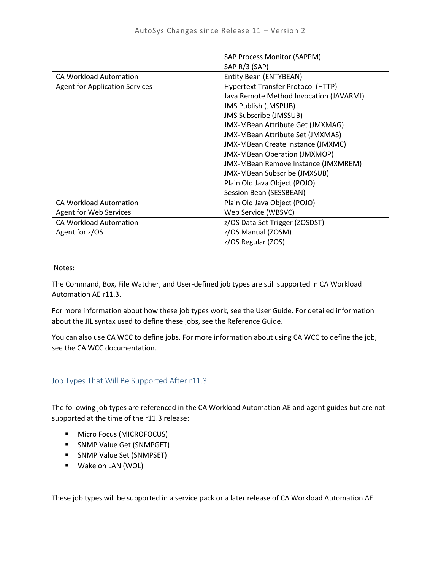|                                       | <b>SAP Process Monitor (SAPPM)</b>      |
|---------------------------------------|-----------------------------------------|
|                                       | SAP R/3 (SAP)                           |
| <b>CA Workload Automation</b>         | Entity Bean (ENTYBEAN)                  |
| <b>Agent for Application Services</b> | Hypertext Transfer Protocol (HTTP)      |
|                                       | Java Remote Method Invocation (JAVARMI) |
|                                       | <b>JMS Publish (JMSPUB)</b>             |
|                                       | <b>JMS Subscribe (JMSSUB)</b>           |
|                                       | JMX-MBean Attribute Get (JMXMAG)        |
|                                       | JMX-MBean Attribute Set (JMXMAS)        |
|                                       | JMX-MBean Create Instance (JMXMC)       |
|                                       | <b>JMX-MBean Operation (JMXMOP)</b>     |
|                                       | JMX-MBean Remove Instance (JMXMREM)     |
|                                       | JMX-MBean Subscribe (JMXSUB)            |
|                                       | Plain Old Java Object (POJO)            |
|                                       | Session Bean (SESSBEAN)                 |
| <b>CA Workload Automation</b>         | Plain Old Java Object (POJO)            |
| Agent for Web Services                | Web Service (WBSVC)                     |
| <b>CA Workload Automation</b>         | z/OS Data Set Trigger (ZOSDST)          |
| Agent for z/OS                        | z/OS Manual (ZOSM)                      |
|                                       | z/OS Regular (ZOS)                      |

Notes:

The Command, Box, File Watcher, and User-defined job types are still supported in CA Workload Automation AE r11.3.

For more information about how these job types work, see the User Guide. For detailed information about the JIL syntax used to define these jobs, see the Reference Guide.

You can also use CA WCC to define jobs. For more information about using CA WCC to define the job, see the CA WCC documentation.

#### <span id="page-10-0"></span>Job Types That Will Be Supported After r11.3

The following job types are referenced in the CA Workload Automation AE and agent guides but are not supported at the time of the r11.3 release:

- **Micro Focus (MICROFOCUS)**
- **SNMP Value Get (SNMPGET)**
- **SNMP Value Set (SNMPSET)**
- **Wake on LAN (WOL)**

These job types will be supported in a service pack or a later release of CA Workload Automation AE.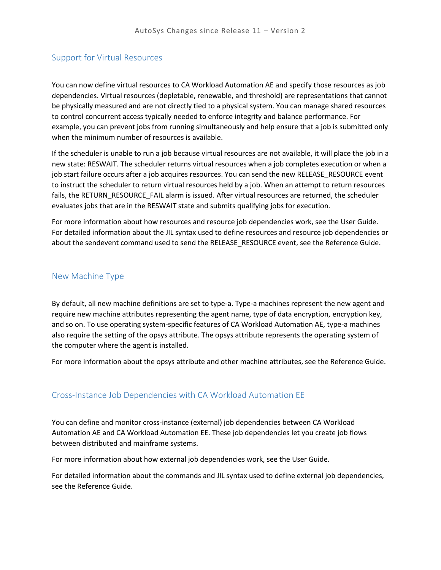#### <span id="page-11-0"></span>Support for Virtual Resources

You can now define virtual resources to CA Workload Automation AE and specify those resources as job dependencies. Virtual resources (depletable, renewable, and threshold) are representations that cannot be physically measured and are not directly tied to a physical system. You can manage shared resources to control concurrent access typically needed to enforce integrity and balance performance. For example, you can prevent jobs from running simultaneously and help ensure that a job is submitted only when the minimum number of resources is available.

If the scheduler is unable to run a job because virtual resources are not available, it will place the job in a new state: RESWAIT. The scheduler returns virtual resources when a job completes execution or when a job start failure occurs after a job acquires resources. You can send the new RELEASE\_RESOURCE event to instruct the scheduler to return virtual resources held by a job. When an attempt to return resources fails, the RETURN\_RESOURCE\_FAIL alarm is issued. After virtual resources are returned, the scheduler evaluates jobs that are in the RESWAIT state and submits qualifying jobs for execution.

For more information about how resources and resource job dependencies work, see the User Guide. For detailed information about the JIL syntax used to define resources and resource job dependencies or about the sendevent command used to send the RELEASE\_RESOURCE event, see the Reference Guide.

#### <span id="page-11-1"></span>New Machine Type

By default, all new machine definitions are set to type-a. Type-a machines represent the new agent and require new machine attributes representing the agent name, type of data encryption, encryption key, and so on. To use operating system-specific features of CA Workload Automation AE, type-a machines also require the setting of the opsys attribute. The opsys attribute represents the operating system of the computer where the agent is installed.

For more information about the opsys attribute and other machine attributes, see the Reference Guide.

#### <span id="page-11-2"></span>Cross-Instance Job Dependencies with CA Workload Automation EE

You can define and monitor cross-instance (external) job dependencies between CA Workload Automation AE and CA Workload Automation EE. These job dependencies let you create job flows between distributed and mainframe systems.

For more information about how external job dependencies work, see the User Guide.

For detailed information about the commands and JIL syntax used to define external job dependencies, see the Reference Guide.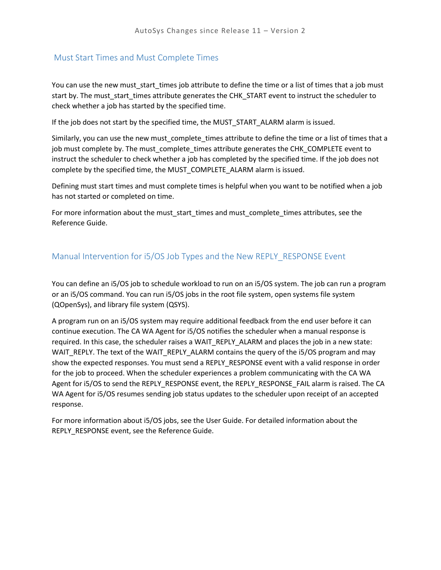### <span id="page-12-2"></span><span id="page-12-0"></span>Must Start Times and Must Complete Times

You can use the new must start times job attribute to define the time or a list of times that a job must start by. The must start times attribute generates the CHK\_START event to instruct the scheduler to check whether a job has started by the specified time.

If the job does not start by the specified time, the MUST\_START\_ALARM alarm is issued.

Similarly, you can use the new must\_complete\_times attribute to define the time or a list of times that a job must complete by. The must\_complete\_times attribute generates the CHK\_COMPLETE event to instruct the scheduler to check whether a job has completed by the specified time. If the job does not complete by the specified time, the MUST\_COMPLETE\_ALARM alarm is issued.

Defining must start times and must complete times is helpful when you want to be notified when a job has not started or completed on time.

For more information about the must start times and must complete times attributes, see the Reference Guide.

## <span id="page-12-1"></span>Manual Intervention for i5/OS Job Types and the New REPLY\_RESPONSE Event

You can define an i5/OS job to schedule workload to run on an i5/OS system. The job can run a program or an i5/OS command. You can run i5/OS jobs in the root file system, open systems file system (QOpenSys), and library file system (QSYS).

A program run on an i5/OS system may require additional feedback from the end user before it can continue execution. The CA WA Agent for i5/OS notifies the scheduler when a manual response is required. In this case, the scheduler raises a WAIT\_REPLY\_ALARM and places the job in a new state: WAIT\_REPLY. The text of the WAIT\_REPLY\_ALARM contains the query of the i5/OS program and may show the expected responses. You must send a REPLY\_RESPONSE event with a valid response in order for the job to proceed. When the scheduler experiences a problem communicating with the CA WA Agent for i5/OS to send the REPLY\_RESPONSE event, the REPLY\_RESPONSE\_FAIL alarm is raised. The CA WA Agent for i5/OS resumes sending job status updates to the scheduler upon receipt of an accepted response.

<span id="page-12-3"></span>For more information about i5/OS jobs, see the User Guide. For detailed information about the REPLY\_RESPONSE event, see the Reference Guide.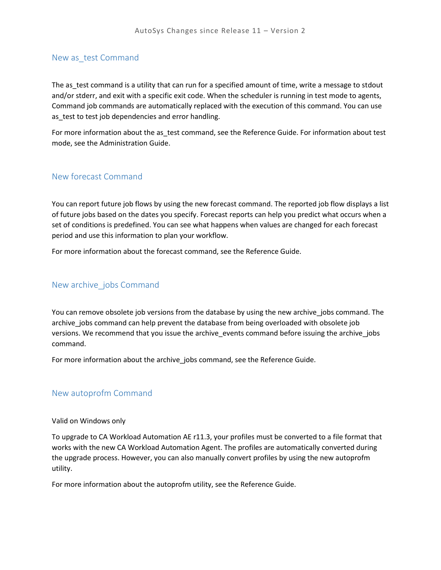#### <span id="page-13-0"></span>New as\_test Command

The as test command is a utility that can run for a specified amount of time, write a message to stdout and/or stderr, and exit with a specific exit code. When the scheduler is running in test mode to agents, Command job commands are automatically replaced with the execution of this command. You can use as\_test to test job dependencies and error handling.

For more information about the as\_test command, see the Reference Guide. For information about test mode, see the Administration Guide.

#### <span id="page-13-1"></span>New forecast Command

You can report future job flows by using the new forecast command. The reported job flow displays a list of future jobs based on the dates you specify. Forecast reports can help you predict what occurs when a set of conditions is predefined. You can see what happens when values are changed for each forecast period and use this information to plan your workflow.

For more information about the forecast command, see the Reference Guide.

#### <span id="page-13-2"></span>New archive\_jobs Command

You can remove obsolete job versions from the database by using the new archive jobs command. The archive\_jobs command can help prevent the database from being overloaded with obsolete job versions. We recommend that you issue the archive\_events command before issuing the archive\_jobs command.

For more information about the archive jobs command, see the Reference Guide.

#### <span id="page-13-3"></span>New autoprofm Command

#### Valid on Windows only

To upgrade to CA Workload Automation AE r11.3, your profiles must be converted to a file format that works with the new CA Workload Automation Agent. The profiles are automatically converted during the upgrade process. However, you can also manually convert profiles by using the new autoprofm utility.

For more information about the autoprofm utility, see the Reference Guide.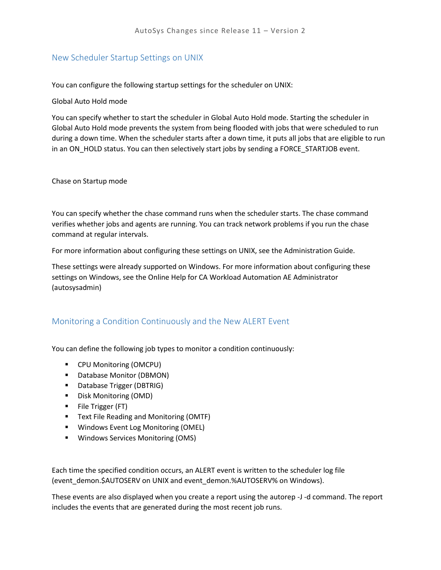### <span id="page-14-0"></span>New Scheduler Startup Settings on UNIX

You can configure the following startup settings for the scheduler on UNIX:

#### Global Auto Hold mode

You can specify whether to start the scheduler in Global Auto Hold mode. Starting the scheduler in Global Auto Hold mode prevents the system from being flooded with jobs that were scheduled to run during a down time. When the scheduler starts after a down time, it puts all jobs that are eligible to run in an ON\_HOLD status. You can then selectively start jobs by sending a FORCE\_STARTJOB event.

#### Chase on Startup mode

You can specify whether the chase command runs when the scheduler starts. The chase command verifies whether jobs and agents are running. You can track network problems if you run the chase command at regular intervals.

For more information about configuring these settings on UNIX, see the Administration Guide.

These settings were already supported on Windows. For more information about configuring these settings on Windows, see the Online Help for CA Workload Automation AE Administrator (autosysadmin)

## <span id="page-14-1"></span>Monitoring a Condition Continuously and the New ALERT Event

You can define the following job types to monitor a condition continuously:

- CPU Monitoring (OMCPU)
- **Database Monitor (DBMON)**
- **Database Trigger (DBTRIG)**
- **Disk Monitoring (OMD)**
- **File Trigger (FT)**
- **Text File Reading and Monitoring (OMTF)**
- **Windows Event Log Monitoring (OMEL)**
- **Windows Services Monitoring (OMS)**

Each time the specified condition occurs, an ALERT event is written to the scheduler log file (event\_demon.\$AUTOSERV on UNIX and event\_demon.%AUTOSERV% on Windows).

These events are also displayed when you create a report using the autorep -J -d command. The report includes the events that are generated during the most recent job runs.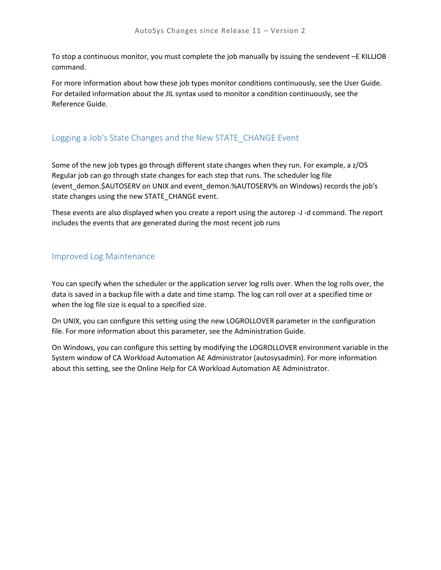To stop a continuous monitor, you must complete the job manually by issuing the sendevent –E KILLJOB command.

For more information about how these job types monitor conditions continuously, see the User Guide. For detailed information about the JIL syntax used to monitor a condition continuously, see the Reference Guide.

## <span id="page-15-0"></span>Logging a Job's State Changes and the New STATE\_CHANGE Event

Some of the new job types go through different state changes when they run. For example, a z/OS Regular job can go through state changes for each step that runs. The scheduler log file (event\_demon.\$AUTOSERV on UNIX and event\_demon.%AUTOSERV% on Windows) records the job's state changes using the new STATE\_CHANGE event.

These events are also displayed when you create a report using the autorep -J -d command. The report includes the events that are generated during the most recent job runs

## <span id="page-15-1"></span>Improved Log Maintenance

You can specify when the scheduler or the application server log rolls over. When the log rolls over, the data is saved in a backup file with a date and time stamp. The log can roll over at a specified time or when the log file size is equal to a specified size.

On UNIX, you can configure this setting using the new LOGROLLOVER parameter in the configuration file. For more information about this parameter, see the Administration Guide.

<span id="page-15-2"></span>On Windows, you can configure this setting by modifying the LOGROLLOVER environment variable in the System window of CA Workload Automation AE Administrator (autosysadmin). For more information about this setting, see the Online Help for CA Workload Automation AE Administrator.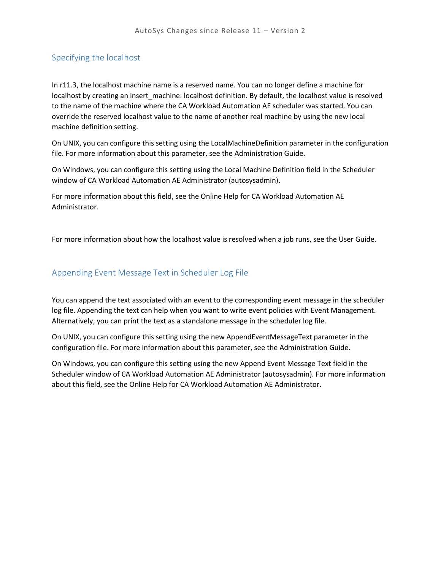## <span id="page-16-0"></span>Specifying the localhost

In r11.3, the localhost machine name is a reserved name. You can no longer define a machine for localhost by creating an insert machine: localhost definition. By default, the localhost value is resolved to the name of the machine where the CA Workload Automation AE scheduler was started. You can override the reserved localhost value to the name of another real machine by using the new local machine definition setting.

On UNIX, you can configure this setting using the LocalMachineDefinition parameter in the configuration file. For more information about this parameter, see the Administration Guide.

On Windows, you can configure this setting using the Local Machine Definition field in the Scheduler window of CA Workload Automation AE Administrator (autosysadmin).

For more information about this field, see the Online Help for CA Workload Automation AE Administrator.

For more information about how the localhost value is resolved when a job runs, see the User Guide.

### <span id="page-16-1"></span>Appending Event Message Text in Scheduler Log File

You can append the text associated with an event to the corresponding event message in the scheduler log file. Appending the text can help when you want to write event policies with Event Management. Alternatively, you can print the text as a standalone message in the scheduler log file.

On UNIX, you can configure this setting using the new AppendEventMessageText parameter in the configuration file. For more information about this parameter, see the Administration Guide.

<span id="page-16-2"></span>On Windows, you can configure this setting using the new Append Event Message Text field in the Scheduler window of CA Workload Automation AE Administrator (autosysadmin). For more information about this field, see the Online Help for CA Workload Automation AE Administrator.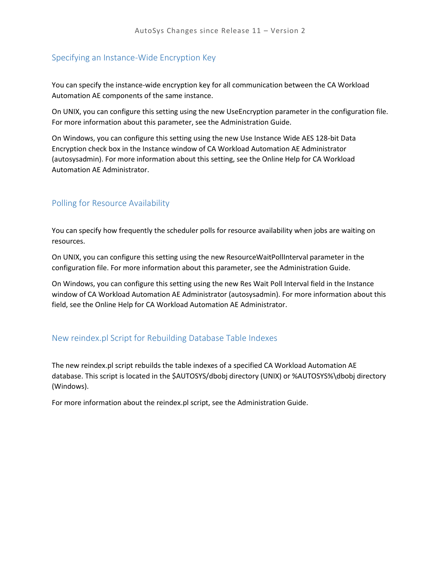### <span id="page-17-0"></span>Specifying an Instance-Wide Encryption Key

You can specify the instance-wide encryption key for all communication between the CA Workload Automation AE components of the same instance.

On UNIX, you can configure this setting using the new UseEncryption parameter in the configuration file. For more information about this parameter, see the Administration Guide.

On Windows, you can configure this setting using the new Use Instance Wide AES 128-bit Data Encryption check box in the Instance window of CA Workload Automation AE Administrator (autosysadmin). For more information about this setting, see the Online Help for CA Workload Automation AE Administrator.

### <span id="page-17-1"></span>Polling for Resource Availability

You can specify how frequently the scheduler polls for resource availability when jobs are waiting on resources.

On UNIX, you can configure this setting using the new ResourceWaitPollInterval parameter in the configuration file. For more information about this parameter, see the Administration Guide.

On Windows, you can configure this setting using the new Res Wait Poll Interval field in the Instance window of CA Workload Automation AE Administrator (autosysadmin). For more information about this field, see the Online Help for CA Workload Automation AE Administrator.

#### <span id="page-17-2"></span>New reindex.pl Script for Rebuilding Database Table Indexes

The new reindex.pl script rebuilds the table indexes of a specified CA Workload Automation AE database. This script is located in the \$AUTOSYS/dbobj directory (UNIX) or %AUTOSYS%\dbobj directory (Windows).

For more information about the reindex.pl script, see the Administration Guide.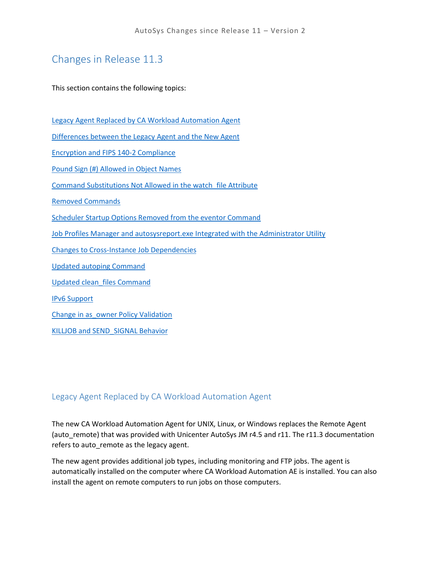# <span id="page-18-0"></span>Changes in Release 11.3

This section contains the following topics:

[Legacy Agent Replaced by CA Workload Automation Agent](#page-18-1) Differences between [the Legacy Agent and the New Agent](#page-19-0) [Encryption and FIPS 140-2 Compliance](#page-25-0) [Pound Sign \(#\) Allowed in Object Names](#page-25-1) [Command Substitutions Not Allowed in the watch\\_file Attribute](#page-25-2) [Removed Commands](#page-26-1) [Scheduler Startup Options Removed from the eventor Command](#page-26-2) [Job Profiles Manager and autosysreport.exe Integrated with the Administrator Utility](#page-27-0) [Changes to Cross-Instance Job](#page-27-1) Dependencies [Updated autoping Command](#page-27-2) [Updated clean\\_files Command](#page-27-3) [IPv6 Support](#page-28-1) Change [in as\\_owner Policy Validation](#page-28-2) [KILLJOB and SEND\\_SIGNAL Behavior](#page-28-3)

## <span id="page-18-1"></span>Legacy Agent Replaced by CA Workload Automation Agent

The new CA Workload Automation Agent for UNIX, Linux, or Windows replaces the Remote Agent (auto\_remote) that was provided with Unicenter AutoSys JM r4.5 and r11. The r11.3 documentation refers to auto remote as the legacy agent.

The new agent provides additional job types, including monitoring and FTP jobs. The agent is automatically installed on the computer where CA Workload Automation AE is installed. You can also install the agent on remote computers to run jobs on those computers.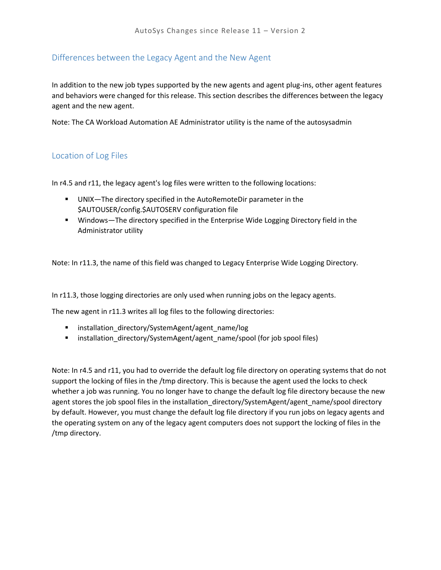## <span id="page-19-0"></span>Differences between the Legacy Agent and the New Agent

In addition to the new job types supported by the new agents and agent plug-ins, other agent features and behaviors were changed for this release. This section describes the differences between the legacy agent and the new agent.

Note: The CA Workload Automation AE Administrator utility is the name of the autosysadmin

## <span id="page-19-1"></span>Location of Log Files

In r4.5 and r11, the legacy agent's log files were written to the following locations:

- UNIX—The directory specified in the AutoRemoteDir parameter in the \$AUTOUSER/config.\$AUTOSERV configuration file
- Windows—The directory specified in the Enterprise Wide Logging Directory field in the Administrator utility

Note: In r11.3, the name of this field was changed to Legacy Enterprise Wide Logging Directory.

In r11.3, those logging directories are only used when running jobs on the legacy agents.

The new agent in r11.3 writes all log files to the following directories:

- installation\_directory/SystemAgent/agent\_name/log
- **EXECT** installation\_directory/SystemAgent/agent\_name/spool (for job spool files)

Note: In r4.5 and r11, you had to override the default log file directory on operating systems that do not support the locking of files in the /tmp directory. This is because the agent used the locks to check whether a job was running. You no longer have to change the default log file directory because the new agent stores the job spool files in the installation\_directory/SystemAgent/agent\_name/spool directory by default. However, you must change the default log file directory if you run jobs on legacy agents and the operating system on any of the legacy agent computers does not support the locking of files in the /tmp directory.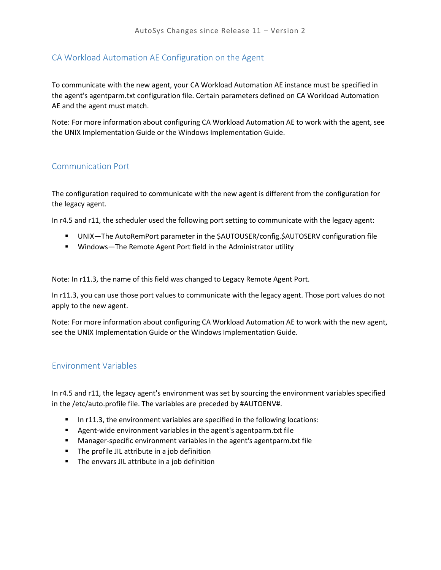### <span id="page-20-0"></span>CA Workload Automation AE Configuration on the Agent

To communicate with the new agent, your CA Workload Automation AE instance must be specified in the agent's agentparm.txt configuration file. Certain parameters defined on CA Workload Automation AE and the agent must match.

Note: For more information about configuring CA Workload Automation AE to work with the agent, see the UNIX Implementation Guide or the Windows Implementation Guide.

#### <span id="page-20-1"></span>Communication Port

The configuration required to communicate with the new agent is different from the configuration for the legacy agent.

In r4.5 and r11, the scheduler used the following port setting to communicate with the legacy agent:

- UNIX—The AutoRemPort parameter in the \$AUTOUSER/config.\$AUTOSERV configuration file
- Windows—The Remote Agent Port field in the Administrator utility

Note: In r11.3, the name of this field was changed to Legacy Remote Agent Port.

In r11.3, you can use those port values to communicate with the legacy agent. Those port values do not apply to the new agent.

Note: For more information about configuring CA Workload Automation AE to work with the new agent, see the UNIX Implementation Guide or the Windows Implementation Guide.

#### <span id="page-20-2"></span>Environment Variables

In r4.5 and r11, the legacy agent's environment was set by sourcing the environment variables specified in the /etc/auto.profile file. The variables are preceded by #AUTOENV#.

- In r11.3, the environment variables are specified in the following locations:
- Agent-wide environment variables in the agent's agentparm.txt file
- Manager-specific environment variables in the agent's agentparm.txt file
- **The profile JIL attribute in a job definition**
- **The envvars JIL attribute in a job definition**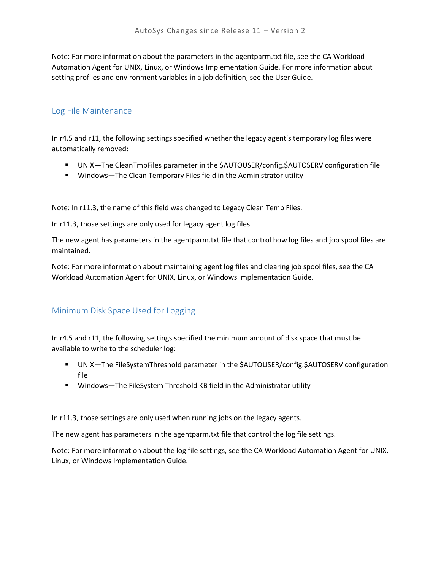Note: For more information about the parameters in the agentparm.txt file, see the CA Workload Automation Agent for UNIX, Linux, or Windows Implementation Guide. For more information about setting profiles and environment variables in a job definition, see the User Guide.

#### <span id="page-21-0"></span>Log File Maintenance

In r4.5 and r11, the following settings specified whether the legacy agent's temporary log files were automatically removed:

- UNIX—The CleanTmpFiles parameter in the \$AUTOUSER/config.\$AUTOSERV configuration file
- **Windows—The Clean Temporary Files field in the Administrator utility**

Note: In r11.3, the name of this field was changed to Legacy Clean Temp Files.

In r11.3, those settings are only used for legacy agent log files.

The new agent has parameters in the agentparm.txt file that control how log files and job spool files are maintained.

Note: For more information about maintaining agent log files and clearing job spool files, see the CA Workload Automation Agent for UNIX, Linux, or Windows Implementation Guide.

## <span id="page-21-1"></span>Minimum Disk Space Used for Logging

In r4.5 and r11, the following settings specified the minimum amount of disk space that must be available to write to the scheduler log:

- UNIX—The FileSystemThreshold parameter in the \$AUTOUSER/config.\$AUTOSERV configuration file
- Windows—The FileSystem Threshold KB field in the Administrator utility

In r11.3, those settings are only used when running jobs on the legacy agents.

The new agent has parameters in the agentparm.txt file that control the log file settings.

Note: For more information about the log file settings, see the CA Workload Automation Agent for UNIX, Linux, or Windows Implementation Guide.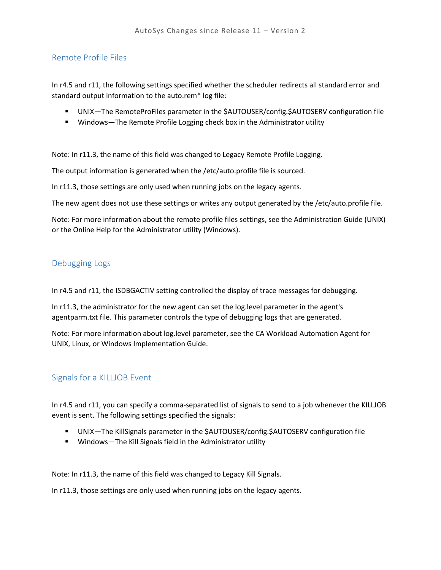## <span id="page-22-0"></span>Remote Profile Files

In r4.5 and r11, the following settings specified whether the scheduler redirects all standard error and standard output information to the auto.rem\* log file:

- UNIX—The RemoteProFiles parameter in the \$AUTOUSER/config.\$AUTOSERV configuration file
- **Windows—The Remote Profile Logging check box in the Administrator utility**

Note: In r11.3, the name of this field was changed to Legacy Remote Profile Logging.

The output information is generated when the /etc/auto.profile file is sourced.

In r11.3, those settings are only used when running jobs on the legacy agents.

The new agent does not use these settings or writes any output generated by the /etc/auto.profile file.

Note: For more information about the remote profile files settings, see the Administration Guide (UNIX) or the Online Help for the Administrator utility (Windows).

#### <span id="page-22-1"></span>Debugging Logs

In r4.5 and r11, the ISDBGACTIV setting controlled the display of trace messages for debugging.

In r11.3, the administrator for the new agent can set the log.level parameter in the agent's agentparm.txt file. This parameter controls the type of debugging logs that are generated.

Note: For more information about log.level parameter, see the CA Workload Automation Agent for UNIX, Linux, or Windows Implementation Guide.

#### <span id="page-22-2"></span>Signals for a KILLJOB Event

In r4.5 and r11, you can specify a comma-separated list of signals to send to a job whenever the KILLJOB event is sent. The following settings specified the signals:

- UNIX—The KillSignals parameter in the \$AUTOUSER/config.\$AUTOSERV configuration file
- Windows—The Kill Signals field in the Administrator utility

Note: In r11.3, the name of this field was changed to Legacy Kill Signals.

In r11.3, those settings are only used when running jobs on the legacy agents.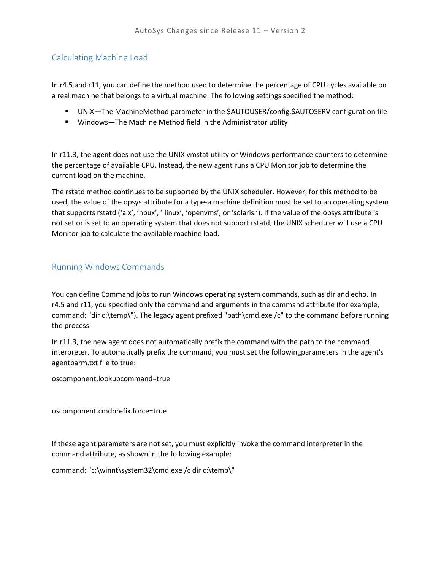## <span id="page-23-0"></span>Calculating Machine Load

In r4.5 and r11, you can define the method used to determine the percentage of CPU cycles available on a real machine that belongs to a virtual machine. The following settings specified the method:

- UNIX—The MachineMethod parameter in the \$AUTOUSER/config.\$AUTOSERV configuration file
- Windows—The Machine Method field in the Administrator utility

In r11.3, the agent does not use the UNIX vmstat utility or Windows performance counters to determine the percentage of available CPU. Instead, the new agent runs a CPU Monitor job to determine the current load on the machine.

The rstatd method continues to be supported by the UNIX scheduler. However, for this method to be used, the value of the opsys attribute for a type-a machine definition must be set to an operating system that supports rstatd ('aix', 'hpux', ' linux', 'openvms', or 'solaris.'). If the value of the opsys attribute is not set or is set to an operating system that does not support rstatd, the UNIX scheduler will use a CPU Monitor job to calculate the available machine load.

### <span id="page-23-1"></span>Running Windows Commands

You can define Command jobs to run Windows operating system commands, such as dir and echo. In r4.5 and r11, you specified only the command and arguments in the command attribute (for example, command: "dir c:\temp\"). The legacy agent prefixed "path\cmd.exe /c" to the command before running the process.

In r11.3, the new agent does not automatically prefix the command with the path to the command interpreter. To automatically prefix the command, you must set the followingparameters in the agent's agentparm.txt file to true:

oscomponent.lookupcommand=true

oscomponent.cmdprefix.force=true

If these agent parameters are not set, you must explicitly invoke the command interpreter in the command attribute, as shown in the following example:

command: "c:\winnt\system32\cmd.exe /c dir c:\temp\"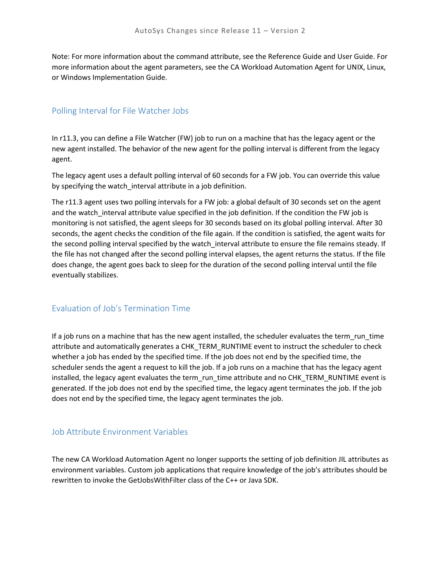Note: For more information about the command attribute, see the Reference Guide and User Guide. For more information about the agent parameters, see the CA Workload Automation Agent for UNIX, Linux, or Windows Implementation Guide.

### <span id="page-24-0"></span>Polling Interval for File Watcher Jobs

In r11.3, you can define a File Watcher (FW) job to run on a machine that has the legacy agent or the new agent installed. The behavior of the new agent for the polling interval is different from the legacy agent.

The legacy agent uses a default polling interval of 60 seconds for a FW job. You can override this value by specifying the watch\_interval attribute in a job definition.

The r11.3 agent uses two polling intervals for a FW job: a global default of 30 seconds set on the agent and the watch interval attribute value specified in the job definition. If the condition the FW job is monitoring is not satisfied, the agent sleeps for 30 seconds based on its global polling interval. After 30 seconds, the agent checks the condition of the file again. If the condition is satisfied, the agent waits for the second polling interval specified by the watch\_interval attribute to ensure the file remains steady. If the file has not changed after the second polling interval elapses, the agent returns the status. If the file does change, the agent goes back to sleep for the duration of the second polling interval until the file eventually stabilizes.

## <span id="page-24-1"></span>Evaluation of Job's Termination Time

If a job runs on a machine that has the new agent installed, the scheduler evaluates the term\_run\_time attribute and automatically generates a CHK\_TERM\_RUNTIME event to instruct the scheduler to check whether a job has ended by the specified time. If the job does not end by the specified time, the scheduler sends the agent a request to kill the job. If a job runs on a machine that has the legacy agent installed, the legacy agent evaluates the term run\_time attribute and no CHK\_TERM\_RUNTIME event is generated. If the job does not end by the specified time, the legacy agent terminates the job. If the job does not end by the specified time, the legacy agent terminates the job.

## <span id="page-24-2"></span>Job Attribute Environment Variables

The new CA Workload Automation Agent no longer supports the setting of job definition JIL attributes as environment variables. Custom job applications that require knowledge of the job's attributes should be rewritten to invoke the GetJobsWithFilter class of the C++ or Java SDK.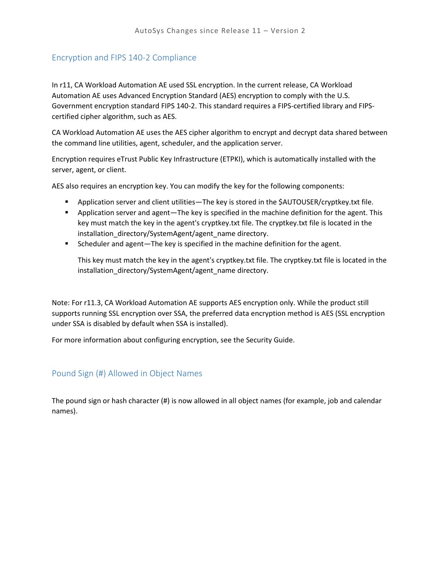## <span id="page-25-0"></span>Encryption and FIPS 140-2 Compliance

In r11, CA Workload Automation AE used SSL encryption. In the current release, CA Workload Automation AE uses Advanced Encryption Standard (AES) encryption to comply with the U.S. Government encryption standard FIPS 140-2. This standard requires a FIPS-certified library and FIPScertified cipher algorithm, such as AES.

CA Workload Automation AE uses the AES cipher algorithm to encrypt and decrypt data shared between the command line utilities, agent, scheduler, and the application server.

Encryption requires eTrust Public Key Infrastructure (ETPKI), which is automatically installed with the server, agent, or client.

AES also requires an encryption key. You can modify the key for the following components:

- Application server and client utilities—The key is stored in the \$AUTOUSER/cryptkey.txt file.
- **•** Application server and agent—The key is specified in the machine definition for the agent. This key must match the key in the agent's cryptkey.txt file. The cryptkey.txt file is located in the installation\_directory/SystemAgent/agent\_name directory.
- Scheduler and agent—The key is specified in the machine definition for the agent.

This key must match the key in the agent's cryptkey.txt file. The cryptkey.txt file is located in the installation\_directory/SystemAgent/agent\_name directory.

Note: For r11.3, CA Workload Automation AE supports AES encryption only. While the product still supports running SSL encryption over SSA, the preferred data encryption method is AES (SSL encryption under SSA is disabled by default when SSA is installed).

For more information about configuring encryption, see the Security Guide.

## <span id="page-25-1"></span>Pound Sign (#) Allowed in Object Names

<span id="page-25-2"></span>The pound sign or hash character (#) is now allowed in all object names (for example, job and calendar names).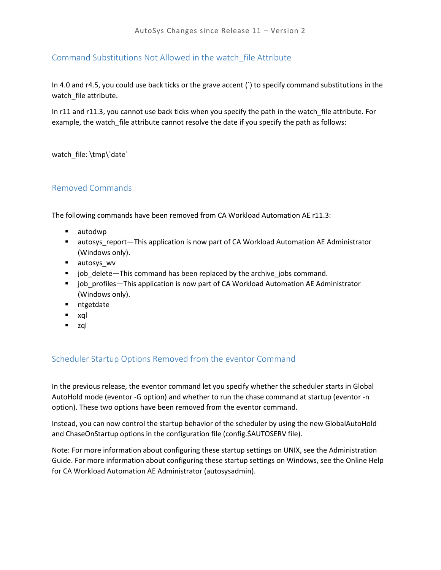## <span id="page-26-0"></span>Command Substitutions Not Allowed in the watch\_file Attribute

In 4.0 and r4.5, you could use back ticks or the grave accent (`) to specify command substitutions in the watch\_file attribute.

In r11 and r11.3, you cannot use back ticks when you specify the path in the watch\_file attribute. For example, the watch\_file attribute cannot resolve the date if you specify the path as follows:

watch\_file: \tmp\`date`

## <span id="page-26-1"></span>Removed Commands

The following commands have been removed from CA Workload Automation AE r11.3:

- autodwp
- **EX autosys report—This application is now part of CA Workload Automation AE Administrator** (Windows only).
- autosys\_wv
- job delete—This command has been replaced by the archive jobs command.
- **Jubar** job\_profiles—This application is now part of CA Workload Automation AE Administrator (Windows only).
- **ntgetdate**
- xql
- zql

## <span id="page-26-2"></span>Scheduler Startup Options Removed from the eventor Command

In the previous release, the eventor command let you specify whether the scheduler starts in Global AutoHold mode (eventor -G option) and whether to run the chase command at startup (eventor -n option). These two options have been removed from the eventor command.

Instead, you can now control the startup behavior of the scheduler by using the new GlobalAutoHold and ChaseOnStartup options in the configuration file (config.\$AUTOSERV file).

Note: For more information about configuring these startup settings on UNIX, see the Administration Guide. For more information about configuring these startup settings on Windows, see the Online Help for CA Workload Automation AE Administrator (autosysadmin).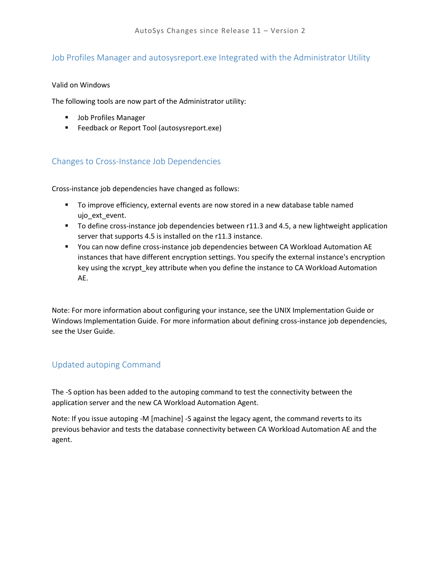## <span id="page-27-0"></span>Job Profiles Manager and autosysreport.exe Integrated with the Administrator Utility

#### Valid on Windows

The following tools are now part of the Administrator utility:

- **Job Profiles Manager**
- **Feedback or Report Tool (autosysreport.exe)**

## <span id="page-27-1"></span>Changes to Cross-Instance Job Dependencies

Cross-instance job dependencies have changed as follows:

- To improve efficiency, external events are now stored in a new database table named ujo\_ext\_event.
- To define cross-instance job dependencies between r11.3 and 4.5, a new lightweight application server that supports 4.5 is installed on the r11.3 instance.
- You can now define cross-instance job dependencies between CA Workload Automation AE instances that have different encryption settings. You specify the external instance's encryption key using the xcrypt\_key attribute when you define the instance to CA Workload Automation AE.

Note: For more information about configuring your instance, see the UNIX Implementation Guide or Windows Implementation Guide. For more information about defining cross-instance job dependencies, see the User Guide.

## <span id="page-27-2"></span>Updated autoping Command

The -S option has been added to the autoping command to test the connectivity between the application server and the new CA Workload Automation Agent.

<span id="page-27-3"></span>Note: If you issue autoping -M [machine] -S against the legacy agent, the command reverts to its previous behavior and tests the database connectivity between CA Workload Automation AE and the agent.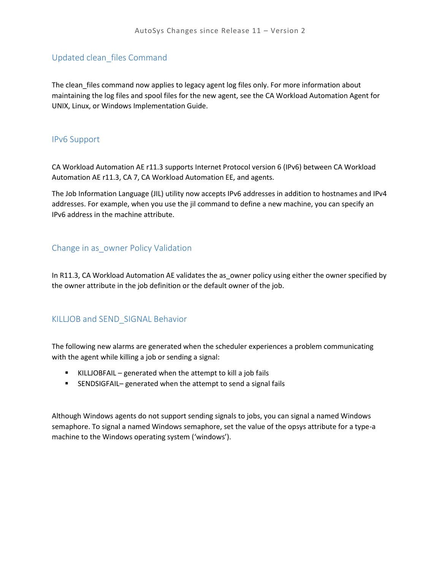### <span id="page-28-0"></span>Updated clean\_files Command

The clean\_files command now applies to legacy agent log files only. For more information about maintaining the log files and spool files for the new agent, see the CA Workload Automation Agent for UNIX, Linux, or Windows Implementation Guide.

#### <span id="page-28-1"></span>IPv6 Support

CA Workload Automation AE r11.3 supports Internet Protocol version 6 (IPv6) between CA Workload Automation AE r11.3, CA 7, CA Workload Automation EE, and agents.

The Job Information Language (JIL) utility now accepts IPv6 addresses in addition to hostnames and IPv4 addresses. For example, when you use the jil command to define a new machine, you can specify an IPv6 address in the machine attribute.

#### <span id="page-28-2"></span>Change in as\_owner Policy Validation

In R11.3, CA Workload Automation AE validates the as\_owner policy using either the owner specified by the owner attribute in the job definition or the default owner of the job.

#### <span id="page-28-3"></span>KILLJOB and SEND\_SIGNAL Behavior

The following new alarms are generated when the scheduler experiences a problem communicating with the agent while killing a job or sending a signal:

- KILLJOBFAIL generated when the attempt to kill a job fails
- SENDSIGFAIL– generated when the attempt to send a signal fails

Although Windows agents do not support sending signals to jobs, you can signal a named Windows semaphore. To signal a named Windows semaphore, set the value of the opsys attribute for a type-a machine to the Windows operating system ('windows').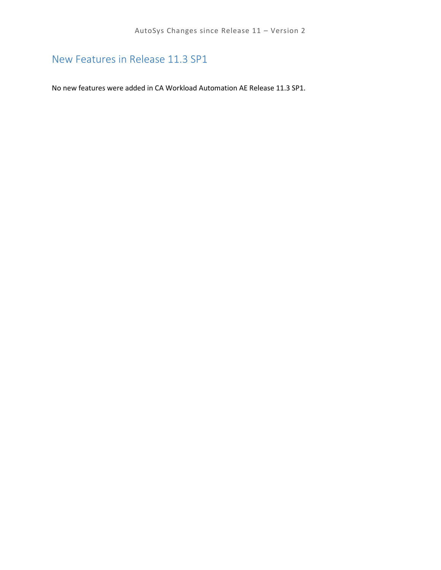# <span id="page-29-0"></span>New Features in Release 11.3 SP1

No new features were added in CA Workload Automation AE Release 11.3 SP1.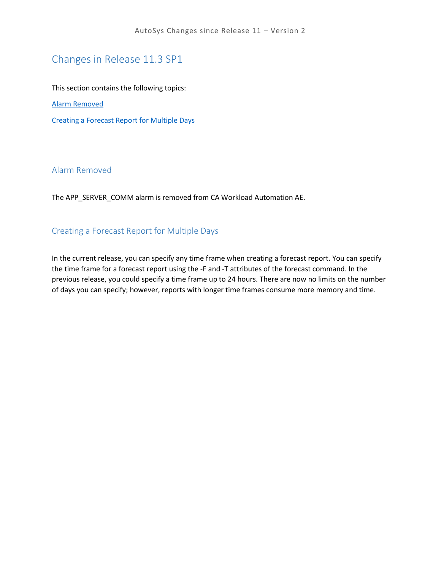# <span id="page-30-0"></span>Changes in Release 11.3 SP1

This section contains the following topics:

[Alarm Removed](#page-30-1)

[Creating a Forecast Report for Multiple Days](#page-30-2)

#### <span id="page-30-1"></span>Alarm Removed

The APP\_SERVER\_COMM alarm is removed from CA Workload Automation AE.

### <span id="page-30-2"></span>Creating a Forecast Report for Multiple Days

In the current release, you can specify any time frame when creating a forecast report. You can specify the time frame for a forecast report using the -F and -T attributes of the forecast command. In the previous release, you could specify a time frame up to 24 hours. There are now no limits on the number of days you can specify; however, reports with longer time frames consume more memory and time.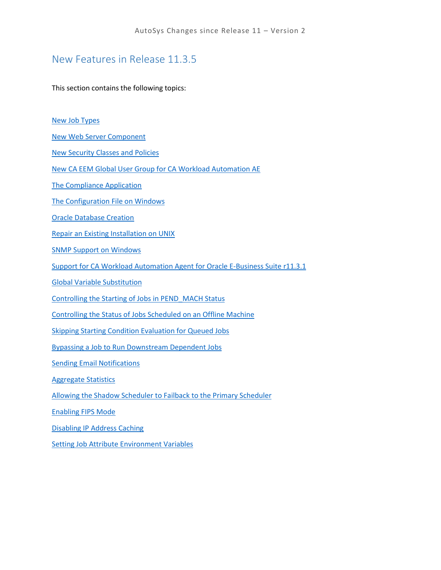## <span id="page-31-0"></span>New Features in Release 11.3.5

This section contains the following topics:

[New Job Types](#page-32-0)

[New Web Server Component](#page-32-3)

[New Security Classes and Policies](#page-33-0)

[New CA EEM Global User Group for CA Workload Automation AE](#page-33-1)

[The Compliance Application](#page-33-2)

[The Configuration File on Windows](#page-33-3)

[Oracle Database Creation](#page-34-1)

[Repair an Existing Installation on UNIX](#page-34-2)

[SNMP Support on Windows](#page-35-1)

[Support for CA Workload Automation Agent for Oracle E-Business Suite r11.3.1](#page-35-2)

[Global Variable Substitution](#page-35-3)

[Controlling the Starting of Jobs in PEND\\_MACH Status](#page-36-1)

[Controlling the Status of Jobs Scheduled on an Offline Machine](#page-37-1)

[Skipping Starting Condition Evaluation for Queued Jobs](#page-37-2)

Bypassing a Job [to Run Downstream Dependent Jobs](#page-38-1)

[Sending Email Notifications](#page-38-2)

[Aggregate Statistics](#page-39-1)

[Allowing the Shadow Scheduler to Failback to the Primary Scheduler](#page-40-0)

[Enabling FIPS Mode](#page-40-1)

[Disabling IP Address Caching](#page-40-2)

[Setting Job Attribute Environment Variables](#page-41-1)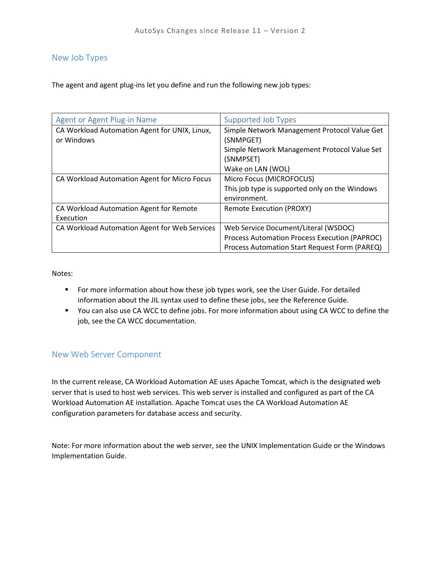#### <span id="page-32-0"></span>New Job Types

The agent and agent plug-ins let you define and run the following new job types:

<span id="page-32-2"></span><span id="page-32-1"></span>

| Agent or Agent Plug-in Name                   | Supported Job Types                            |
|-----------------------------------------------|------------------------------------------------|
| CA Workload Automation Agent for UNIX, Linux, | Simple Network Management Protocol Value Get   |
| or Windows                                    | (SNMPGET)                                      |
|                                               | Simple Network Management Protocol Value Set   |
|                                               | (SNMPSET)                                      |
|                                               | Wake on LAN (WOL)                              |
| CA Workload Automation Agent for Micro Focus  | Micro Focus (MICROFOCUS)                       |
|                                               | This job type is supported only on the Windows |
|                                               | environment.                                   |
| CA Workload Automation Agent for Remote       | <b>Remote Execution (PROXY)</b>                |
| Execution                                     |                                                |
| CA Workload Automation Agent for Web Services | Web Service Document/Literal (WSDOC)           |
|                                               | Process Automation Process Execution (PAPROC)  |
|                                               | Process Automation Start Request Form (PAREQ)  |

Notes:

- **F** For more information about how these job types work, see the User Guide. For detailed information about the JIL syntax used to define these jobs, see the Reference Guide.
- You can also use CA WCC to define jobs. For more information about using CA WCC to define the job, see the CA WCC documentation.

#### <span id="page-32-3"></span>New Web Server Component

In the current release, CA Workload Automation AE uses Apache Tomcat, which is the designated web server that is used to host web services. This web server is installed and configured as part of the CA Workload Automation AE installation. Apache Tomcat uses the CA Workload Automation AE configuration parameters for database access and security.

Note: For more information about the web server, see the UNIX Implementation Guide or the Windows Implementation Guide.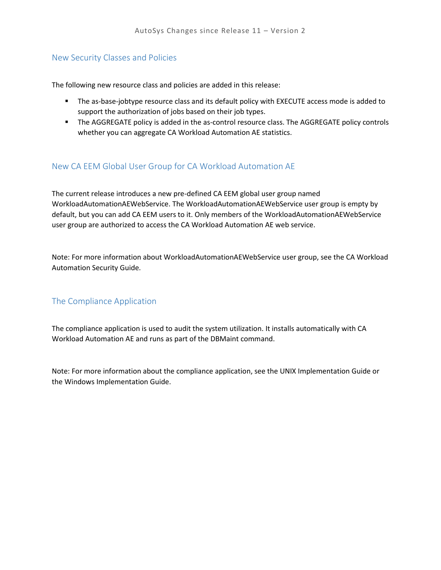## <span id="page-33-0"></span>New Security Classes and Policies

The following new resource class and policies are added in this release:

- **The as-base-jobtype resource class and its default policy with EXECUTE access mode is added to** support the authorization of jobs based on their job types.
- **The AGGREGATE policy is added in the as-control resource class. The AGGREGATE policy controls** whether you can aggregate CA Workload Automation AE statistics.

## <span id="page-33-1"></span>New CA EEM Global User Group for CA Workload Automation AE

The current release introduces a new pre-defined CA EEM global user group named WorkloadAutomationAEWebService. The WorkloadAutomationAEWebService user group is empty by default, but you can add CA EEM users to it. Only members of the WorkloadAutomationAEWebService user group are authorized to access the CA Workload Automation AE web service.

Note: For more information about WorkloadAutomationAEWebService user group, see the CA Workload Automation Security Guide.

## <span id="page-33-2"></span>The Compliance Application

The compliance application is used to audit the system utilization. It installs automatically with CA Workload Automation AE and runs as part of the DBMaint command.

<span id="page-33-3"></span>Note: For more information about the compliance application, see the UNIX Implementation Guide or the Windows Implementation Guide.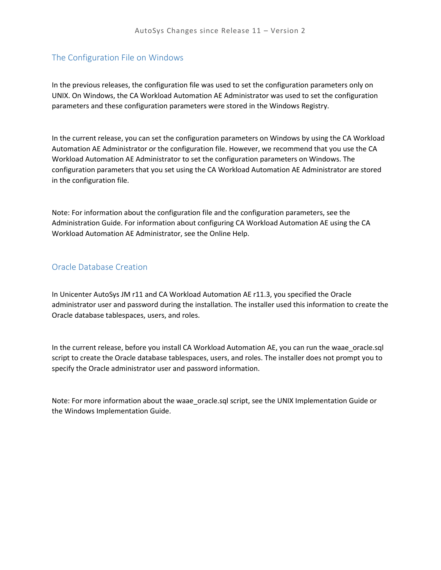## <span id="page-34-0"></span>The Configuration File on Windows

In the previous releases, the configuration file was used to set the configuration parameters only on UNIX. On Windows, the CA Workload Automation AE Administrator was used to set the configuration parameters and these configuration parameters were stored in the Windows Registry.

In the current release, you can set the configuration parameters on Windows by using the CA Workload Automation AE Administrator or the configuration file. However, we recommend that you use the CA Workload Automation AE Administrator to set the configuration parameters on Windows. The configuration parameters that you set using the CA Workload Automation AE Administrator are stored in the configuration file.

Note: For information about the configuration file and the configuration parameters, see the Administration Guide. For information about configuring CA Workload Automation AE using the CA Workload Automation AE Administrator, see the Online Help.

### <span id="page-34-1"></span>Oracle Database Creation

In Unicenter AutoSys JM r11 and CA Workload Automation AE r11.3, you specified the Oracle administrator user and password during the installation. The installer used this information to create the Oracle database tablespaces, users, and roles.

In the current release, before you install CA Workload Automation AE, you can run the waae\_oracle.sql script to create the Oracle database tablespaces, users, and roles. The installer does not prompt you to specify the Oracle administrator user and password information.

<span id="page-34-2"></span>Note: For more information about the waae oracle.sql script, see the UNIX Implementation Guide or the Windows Implementation Guide.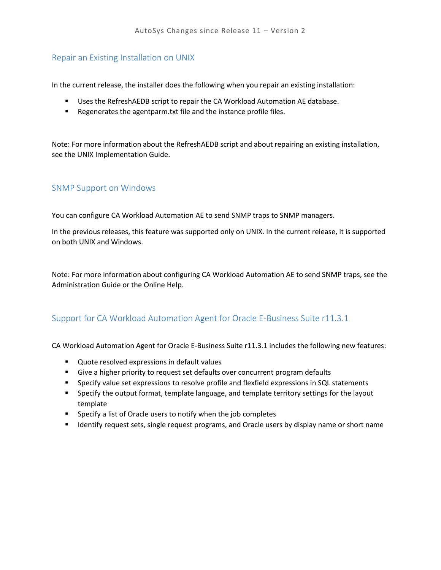## <span id="page-35-0"></span>Repair an Existing Installation on UNIX

In the current release, the installer does the following when you repair an existing installation:

- Uses the RefreshAEDB script to repair the CA Workload Automation AE database.
- Regenerates the agentparm.txt file and the instance profile files.

Note: For more information about the RefreshAEDB script and about repairing an existing installation, see the UNIX Implementation Guide.

### <span id="page-35-1"></span>SNMP Support on Windows

You can configure CA Workload Automation AE to send SNMP traps to SNMP managers.

In the previous releases, this feature was supported only on UNIX. In the current release, it is supported on both UNIX and Windows.

Note: For more information about configuring CA Workload Automation AE to send SNMP traps, see the Administration Guide or the Online Help.

## <span id="page-35-2"></span>Support for CA Workload Automation Agent for Oracle E-Business Suite r11.3.1

CA Workload Automation Agent for Oracle E-Business Suite r11.3.1 includes the following new features:

- **Quote resolved expressions in default values**
- Give a higher priority to request set defaults over concurrent program defaults
- **Specify value set expressions to resolve profile and flexfield expressions in SQL statements**
- Specify the output format, template language, and template territory settings for the layout template
- **Specify a list of Oracle users to notify when the job completes**
- <span id="page-35-3"></span>**If I**dentify request sets, single request programs, and Oracle users by display name or short name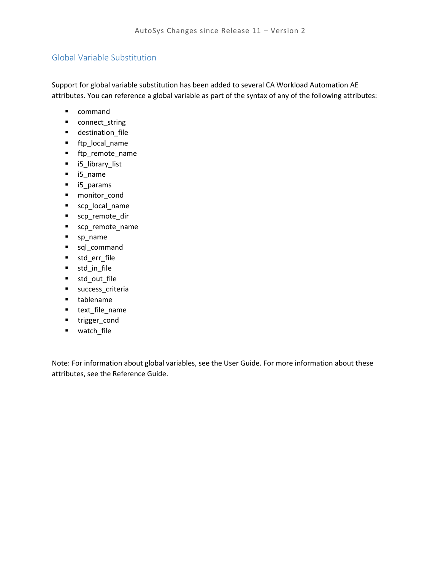## Global Variable Substitution

Support for global variable substitution has been added to several CA Workload Automation AE attributes. You can reference a global variable as part of the syntax of any of the following attributes:

- **•** command
- connect\_string
- destination\_file
- ftp\_local\_name
- ftp\_remote\_name
- i5\_library\_list
- i5\_name
- i5\_params
- **monitor** cond
- scp\_local\_name
- scp\_remote\_dir
- scp\_remote\_name
- sp\_name
- sql\_command
- std\_err\_file
- std\_in\_file
- std\_out\_file
- **success** criteria
- **u** tablename
- **text\_file\_name**
- **trigger\_cond**
- watch\_file

Note: For information about global variables, see the User Guide. For more information about these attributes, see the Reference Guide.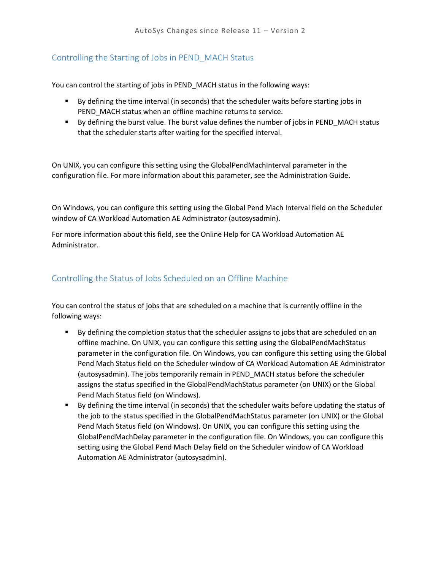## Controlling the Starting of Jobs in PEND\_MACH Status

You can control the starting of jobs in PEND\_MACH status in the following ways:

- **By defining the time interval (in seconds) that the scheduler waits before starting jobs in** PEND MACH status when an offline machine returns to service.
- **By defining the burst value. The burst value defines the number of jobs in PEND\_MACH status** that the scheduler starts after waiting for the specified interval.

On UNIX, you can configure this setting using the GlobalPendMachInterval parameter in the configuration file. For more information about this parameter, see the Administration Guide.

On Windows, you can configure this setting using the Global Pend Mach Interval field on the Scheduler window of CA Workload Automation AE Administrator (autosysadmin).

For more information about this field, see the Online Help for CA Workload Automation AE Administrator.

## Controlling the Status of Jobs Scheduled on an Offline Machine

You can control the status of jobs that are scheduled on a machine that is currently offline in the following ways:

- By defining the completion status that the scheduler assigns to jobs that are scheduled on an offline machine. On UNIX, you can configure this setting using the GlobalPendMachStatus parameter in the configuration file. On Windows, you can configure this setting using the Global Pend Mach Status field on the Scheduler window of CA Workload Automation AE Administrator (autosysadmin). The jobs temporarily remain in PEND\_MACH status before the scheduler assigns the status specified in the GlobalPendMachStatus parameter (on UNIX) or the Global Pend Mach Status field (on Windows).
- By defining the time interval (in seconds) that the scheduler waits before updating the status of the job to the status specified in the GlobalPendMachStatus parameter (on UNIX) or the Global Pend Mach Status field (on Windows). On UNIX, you can configure this setting using the GlobalPendMachDelay parameter in the configuration file. On Windows, you can configure this setting using the Global Pend Mach Delay field on the Scheduler window of CA Workload Automation AE Administrator (autosysadmin).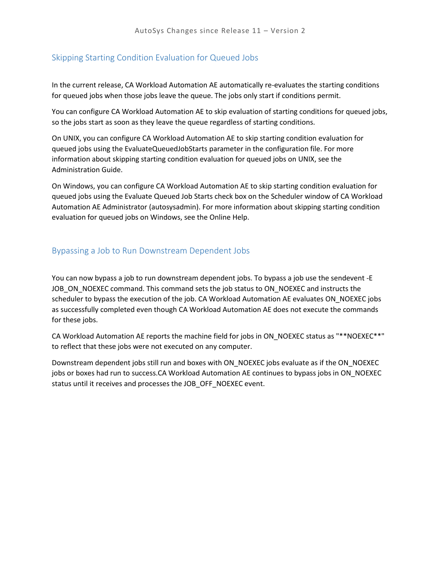#### Skipping Starting Condition Evaluation for Queued Jobs

In the current release, CA Workload Automation AE automatically re-evaluates the starting conditions for queued jobs when those jobs leave the queue. The jobs only start if conditions permit.

You can configure CA Workload Automation AE to skip evaluation of starting conditions for queued jobs, so the jobs start as soon as they leave the queue regardless of starting conditions.

On UNIX, you can configure CA Workload Automation AE to skip starting condition evaluation for queued jobs using the EvaluateQueuedJobStarts parameter in the configuration file. For more information about skipping starting condition evaluation for queued jobs on UNIX, see the Administration Guide.

On Windows, you can configure CA Workload Automation AE to skip starting condition evaluation for queued jobs using the Evaluate Queued Job Starts check box on the Scheduler window of CA Workload Automation AE Administrator (autosysadmin). For more information about skipping starting condition evaluation for queued jobs on Windows, see the Online Help.

#### Bypassing a Job to Run Downstream Dependent Jobs

You can now bypass a job to run downstream dependent jobs. To bypass a job use the sendevent -E JOB\_ON\_NOEXEC command. This command sets the job status to ON\_NOEXEC and instructs the scheduler to bypass the execution of the job. CA Workload Automation AE evaluates ON\_NOEXEC jobs as successfully completed even though CA Workload Automation AE does not execute the commands for these jobs.

CA Workload Automation AE reports the machine field for jobs in ON\_NOEXEC status as "\*\*NOEXEC\*\*" to reflect that these jobs were not executed on any computer.

Downstream dependent jobs still run and boxes with ON\_NOEXEC jobs evaluate as if the ON\_NOEXEC jobs or boxes had run to success.CA Workload Automation AE continues to bypass jobs in ON\_NOEXEC status until it receives and processes the JOB\_OFF\_NOEXEC event.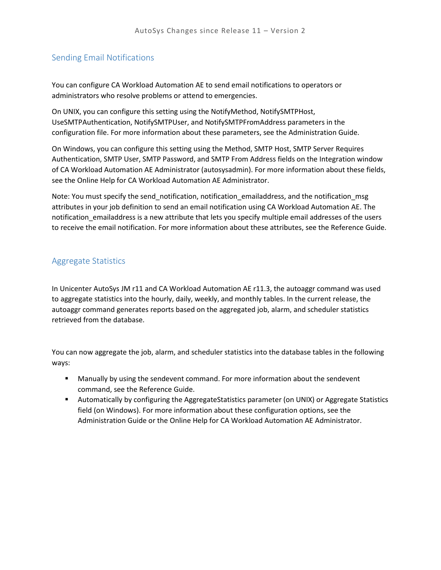#### Sending Email Notifications

You can configure CA Workload Automation AE to send email notifications to operators or administrators who resolve problems or attend to emergencies.

On UNIX, you can configure this setting using the NotifyMethod, NotifySMTPHost, UseSMTPAuthentication, NotifySMTPUser, and NotifySMTPFromAddress parameters in the configuration file. For more information about these parameters, see the Administration Guide.

On Windows, you can configure this setting using the Method, SMTP Host, SMTP Server Requires Authentication, SMTP User, SMTP Password, and SMTP From Address fields on the Integration window of CA Workload Automation AE Administrator (autosysadmin). For more information about these fields, see the Online Help for CA Workload Automation AE Administrator.

Note: You must specify the send\_notification, notification\_emailaddress, and the notification\_msg attributes in your job definition to send an email notification using CA Workload Automation AE. The notification\_emailaddress is a new attribute that lets you specify multiple email addresses of the users to receive the email notification. For more information about these attributes, see the Reference Guide.

#### Aggregate Statistics

In Unicenter AutoSys JM r11 and CA Workload Automation AE r11.3, the autoaggr command was used to aggregate statistics into the hourly, daily, weekly, and monthly tables. In the current release, the autoaggr command generates reports based on the aggregated job, alarm, and scheduler statistics retrieved from the database.

You can now aggregate the job, alarm, and scheduler statistics into the database tables in the following ways:

- Manually by using the sendevent command. For more information about the sendevent command, see the Reference Guide.
- Automatically by configuring the AggregateStatistics parameter (on UNIX) or Aggregate Statistics field (on Windows). For more information about these configuration options, see the Administration Guide or the Online Help for CA Workload Automation AE Administrator.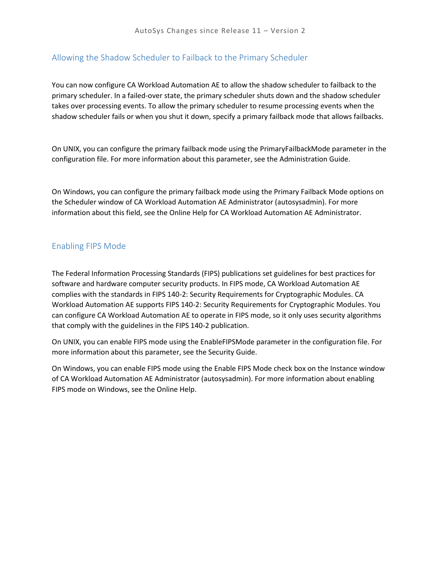#### Allowing the Shadow Scheduler to Failback to the Primary Scheduler

You can now configure CA Workload Automation AE to allow the shadow scheduler to failback to the primary scheduler. In a failed-over state, the primary scheduler shuts down and the shadow scheduler takes over processing events. To allow the primary scheduler to resume processing events when the shadow scheduler fails or when you shut it down, specify a primary failback mode that allows failbacks.

On UNIX, you can configure the primary failback mode using the PrimaryFailbackMode parameter in the configuration file. For more information about this parameter, see the Administration Guide.

On Windows, you can configure the primary failback mode using the Primary Failback Mode options on the Scheduler window of CA Workload Automation AE Administrator (autosysadmin). For more information about this field, see the Online Help for CA Workload Automation AE Administrator.

#### Enabling FIPS Mode

The Federal Information Processing Standards (FIPS) publications set guidelines for best practices for software and hardware computer security products. In FIPS mode, CA Workload Automation AE complies with the standards in FIPS 140-2: Security Requirements for Cryptographic Modules. CA Workload Automation AE supports FIPS 140-2: Security Requirements for Cryptographic Modules. You can configure CA Workload Automation AE to operate in FIPS mode, so it only uses security algorithms that comply with the guidelines in the FIPS 140-2 publication.

On UNIX, you can enable FIPS mode using the EnableFIPSMode parameter in the configuration file. For more information about this parameter, see the Security Guide.

On Windows, you can enable FIPS mode using the Enable FIPS Mode check box on the Instance window of CA Workload Automation AE Administrator (autosysadmin). For more information about enabling FIPS mode on Windows, see the Online Help.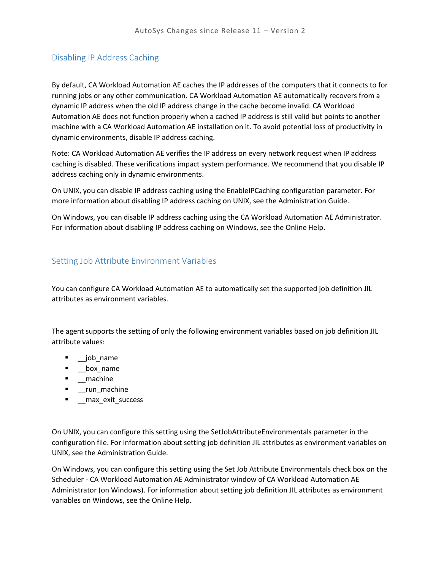### Disabling IP Address Caching

By default, CA Workload Automation AE caches the IP addresses of the computers that it connects to for running jobs or any other communication. CA Workload Automation AE automatically recovers from a dynamic IP address when the old IP address change in the cache become invalid. CA Workload Automation AE does not function properly when a cached IP address is still valid but points to another machine with a CA Workload Automation AE installation on it. To avoid potential loss of productivity in dynamic environments, disable IP address caching.

Note: CA Workload Automation AE verifies the IP address on every network request when IP address caching is disabled. These verifications impact system performance. We recommend that you disable IP address caching only in dynamic environments.

On UNIX, you can disable IP address caching using the EnableIPCaching configuration parameter. For more information about disabling IP address caching on UNIX, see the Administration Guide.

On Windows, you can disable IP address caching using the CA Workload Automation AE Administrator. For information about disabling IP address caching on Windows, see the Online Help.

#### Setting Job Attribute Environment Variables

You can configure CA Workload Automation AE to automatically set the supported job definition JIL attributes as environment variables.

The agent supports the setting of only the following environment variables based on job definition JIL attribute values:

- \_\_job\_name
- \_\_box\_name
- **-** \_machine
- **-** \_run\_machine
- \_\_max\_exit\_success

On UNIX, you can configure this setting using the SetJobAttributeEnvironmentals parameter in the configuration file. For information about setting job definition JIL attributes as environment variables on UNIX, see the Administration Guide.

On Windows, you can configure this setting using the Set Job Attribute Environmentals check box on the Scheduler - CA Workload Automation AE Administrator window of CA Workload Automation AE Administrator (on Windows). For information about setting job definition JIL attributes as environment variables on Windows, see the Online Help.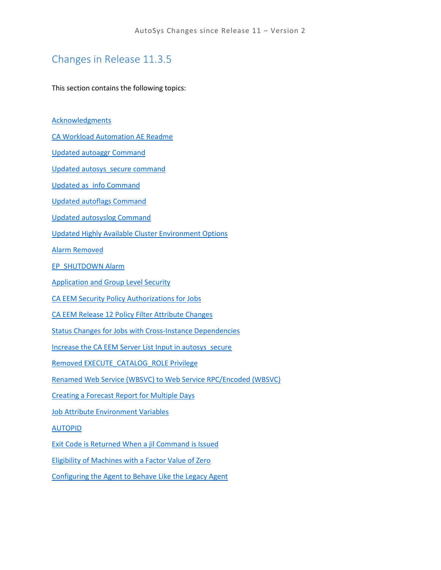## Changes in Release 11.3.5

This section contains the following topics:

**[Acknowledgments](#page-43-0)** 

[CA Workload Automation AE Readme](#page-43-1)

[Updated autoaggr Command](#page-43-2)

[Updated autosys\\_secure command](#page-44-0)

[Updated as\\_info Command](#page-44-1)

[Updated autoflags Command](#page-44-2)

[Updated autosyslog Command](#page-44-3)

[Updated Highly Available Cluster Environment Options](#page-45-0)

[Alarm Removed](#page-45-1)

[EP\\_SHUTDOWN Alarm](#page-45-2)

[Application and Group Level Security](#page-45-3)

[CA EEM Security Policy Authorizations for Jobs](#page-46-0)

[CA EEM Release 12 Policy Filter Attribute Changes](#page-46-1)

[Status Changes for Jobs with Cross-Instance Dependencies](#page-48-0)

[Increase the CA EEM Server List Input in autosys\\_secure](#page-49-0)

[Removed EXECUTE\\_CATALOG\\_ROLE Privilege](#page-50-0)

[Renamed Web Service \(WBSVC\) to Web Service RPC/Encoded \(WBSVC\)](#page-50-1)

[Creating a Forecast Report for Multiple Days](#page-50-2)

[Job Attribute Environment Variables](#page-50-3)

[AUTOPID](#page-51-0)

[Exit Code is Returned When a jil Command is Issued](#page-51-1)

[Eligibility of Machines with a Factor Value of Zero](#page-51-2)

[Configuring the Agent to Behave Like the Legacy Agent](#page-52-0)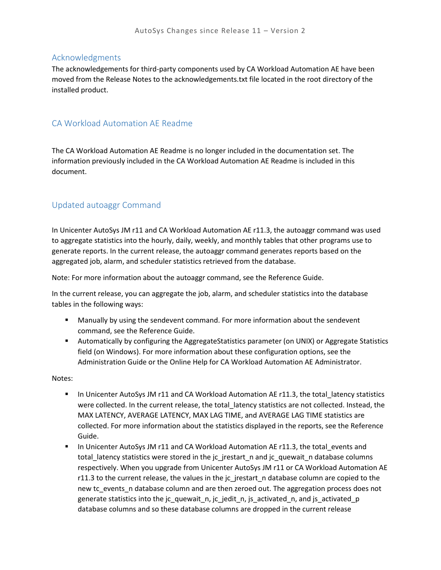#### <span id="page-43-0"></span>Acknowledgments

The acknowledgements for third-party components used by CA Workload Automation AE have been moved from the Release Notes to the acknowledgements.txt file located in the root directory of the installed product.

### <span id="page-43-1"></span>CA Workload Automation AE Readme

The CA Workload Automation AE Readme is no longer included in the documentation set. The information previously included in the CA Workload Automation AE Readme is included in this document.

## <span id="page-43-2"></span>Updated autoaggr Command

In Unicenter AutoSys JM r11 and CA Workload Automation AE r11.3, the autoaggr command was used to aggregate statistics into the hourly, daily, weekly, and monthly tables that other programs use to generate reports. In the current release, the autoaggr command generates reports based on the aggregated job, alarm, and scheduler statistics retrieved from the database.

Note: For more information about the autoaggr command, see the Reference Guide.

In the current release, you can aggregate the job, alarm, and scheduler statistics into the database tables in the following ways:

- Manually by using the sendevent command. For more information about the sendevent command, see the Reference Guide.
- Automatically by configuring the AggregateStatistics parameter (on UNIX) or Aggregate Statistics field (on Windows). For more information about these configuration options, see the Administration Guide or the Online Help for CA Workload Automation AE Administrator.

Notes:

- In Unicenter AutoSys JM r11 and CA Workload Automation AE r11.3, the total\_latency statistics were collected. In the current release, the total\_latency statistics are not collected. Instead, the MAX LATENCY, AVERAGE LATENCY, MAX LAG TIME, and AVERAGE LAG TIME statistics are collected. For more information about the statistics displayed in the reports, see the Reference Guide.
- In Unicenter AutoSys JM r11 and CA Workload Automation AE r11.3, the total events and total latency statistics were stored in the jc prestart n and jc quewait n database columns respectively. When you upgrade from Unicenter AutoSys JM r11 or CA Workload Automation AE r11.3 to the current release, the values in the jc\_jrestart\_n database column are copied to the new tc\_events\_n database column and are then zeroed out. The aggregation process does not generate statistics into the jc\_quewait\_n, jc\_jedit\_n, js\_activated\_n, and js\_activated\_p database columns and so these database columns are dropped in the current release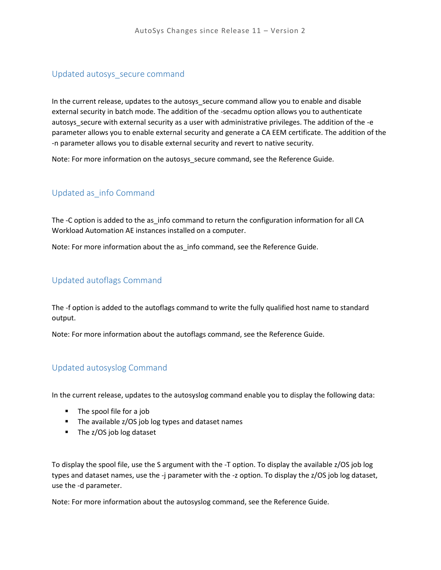#### <span id="page-44-0"></span>Updated autosys\_secure command

In the current release, updates to the autosys\_secure command allow you to enable and disable external security in batch mode. The addition of the -secadmu option allows you to authenticate autosys\_secure with external security as a user with administrative privileges. The addition of the -e parameter allows you to enable external security and generate a CA EEM certificate. The addition of the -n parameter allows you to disable external security and revert to native security.

Note: For more information on the autosys\_secure command, see the Reference Guide.

### <span id="page-44-1"></span>Updated as\_info Command

The -C option is added to the as\_info command to return the configuration information for all CA Workload Automation AE instances installed on a computer.

Note: For more information about the as\_info command, see the Reference Guide.

#### <span id="page-44-2"></span>Updated autoflags Command

The -f option is added to the autoflags command to write the fully qualified host name to standard output.

Note: For more information about the autoflags command, see the Reference Guide.

### <span id="page-44-3"></span>Updated autosyslog Command

In the current release, updates to the autosyslog command enable you to display the following data:

- The spool file for a job
- The available z/OS job log types and dataset names
- **The z/OS job log dataset**

To display the spool file, use the S argument with the -T option. To display the available z/OS job log types and dataset names, use the -j parameter with the -z option. To display the z/OS job log dataset, use the -d parameter.

Note: For more information about the autosyslog command, see the Reference Guide.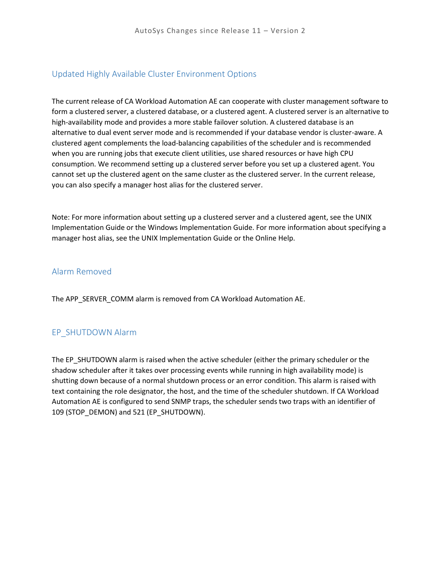#### <span id="page-45-0"></span>Updated Highly Available Cluster Environment Options

The current release of CA Workload Automation AE can cooperate with cluster management software to form a clustered server, a clustered database, or a clustered agent. A clustered server is an alternative to high-availability mode and provides a more stable failover solution. A clustered database is an alternative to dual event server mode and is recommended if your database vendor is cluster-aware. A clustered agent complements the load-balancing capabilities of the scheduler and is recommended when you are running jobs that execute client utilities, use shared resources or have high CPU consumption. We recommend setting up a clustered server before you set up a clustered agent. You cannot set up the clustered agent on the same cluster as the clustered server. In the current release, you can also specify a manager host alias for the clustered server.

Note: For more information about setting up a clustered server and a clustered agent, see the UNIX Implementation Guide or the Windows Implementation Guide. For more information about specifying a manager host alias, see the UNIX Implementation Guide or the Online Help.

#### <span id="page-45-1"></span>Alarm Removed

The APP\_SERVER\_COMM alarm is removed from CA Workload Automation AE.

### <span id="page-45-2"></span>EP\_SHUTDOWN Alarm

<span id="page-45-3"></span>The EP\_SHUTDOWN alarm is raised when the active scheduler (either the primary scheduler or the shadow scheduler after it takes over processing events while running in high availability mode) is shutting down because of a normal shutdown process or an error condition. This alarm is raised with text containing the role designator, the host, and the time of the scheduler shutdown. If CA Workload Automation AE is configured to send SNMP traps, the scheduler sends two traps with an identifier of 109 (STOP\_DEMON) and 521 (EP\_SHUTDOWN).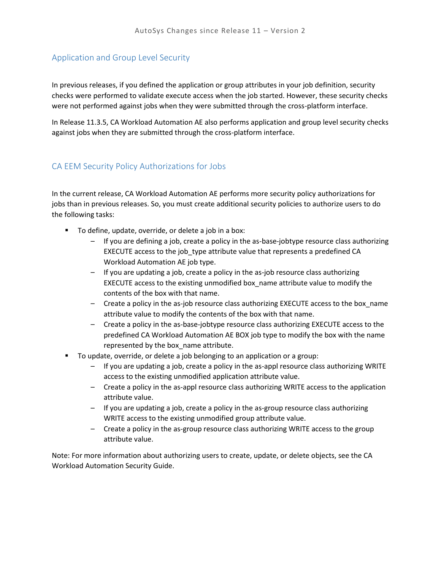#### Application and Group Level Security

In previous releases, if you defined the application or group attributes in your job definition, security checks were performed to validate execute access when the job started. However, these security checks were not performed against jobs when they were submitted through the cross-platform interface.

In Release 11.3.5, CA Workload Automation AE also performs application and group level security checks against jobs when they are submitted through the cross-platform interface.

#### <span id="page-46-0"></span>CA EEM Security Policy Authorizations for Jobs

In the current release, CA Workload Automation AE performs more security policy authorizations for jobs than in previous releases. So, you must create additional security policies to authorize users to do the following tasks:

- **To define, update, override, or delete a job in a box:** 
	- If you are defining a job, create a policy in the as-base-jobtype resource class authorizing EXECUTE access to the job\_type attribute value that represents a predefined CA Workload Automation AE job type.
	- If you are updating a job, create a policy in the as-job resource class authorizing EXECUTE access to the existing unmodified box\_name attribute value to modify the contents of the box with that name.
	- Create a policy in the as-job resource class authorizing EXECUTE access to the box\_name attribute value to modify the contents of the box with that name.
	- Create a policy in the as-base-jobtype resource class authorizing EXECUTE access to the predefined CA Workload Automation AE BOX job type to modify the box with the name represented by the box\_name attribute.
- To update, override, or delete a job belonging to an application or a group:
	- If you are updating a job, create a policy in the as-appl resource class authorizing WRITE access to the existing unmodified application attribute value.
	- Create a policy in the as-appl resource class authorizing WRITE access to the application attribute value.
	- If you are updating a job, create a policy in the as-group resource class authorizing WRITE access to the existing unmodified group attribute value.
	- Create a policy in the as-group resource class authorizing WRITE access to the group attribute value.

<span id="page-46-1"></span>Note: For more information about authorizing users to create, update, or delete objects, see the CA Workload Automation Security Guide.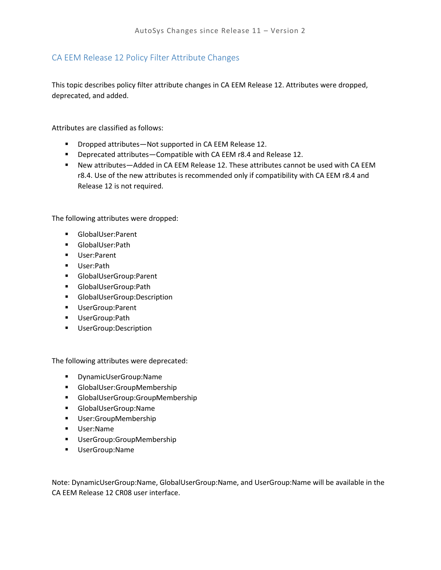## CA EEM Release 12 Policy Filter Attribute Changes

This topic describes policy filter attribute changes in CA EEM Release 12. Attributes were dropped, deprecated, and added.

Attributes are classified as follows:

- Dropped attributes—Not supported in CA EEM Release 12.
- **Deprecated attributes—Compatible with CA EEM r8.4 and Release 12.**
- New attributes—Added in CA EEM Release 12. These attributes cannot be used with CA EEM r8.4. Use of the new attributes is recommended only if compatibility with CA EEM r8.4 and Release 12 is not required.

The following attributes were dropped:

- GlobalUser:Parent
- GlobalUser:Path
- User:Parent
- User:Path
- GlobalUserGroup:Parent
- GlobalUserGroup:Path
- GlobalUserGroup:Description
- **UserGroup:Parent**
- UserGroup:Path
- **UserGroup:Description**

The following attributes were deprecated:

- DynamicUserGroup:Name
- GlobalUser:GroupMembership
- GlobalUserGroup:GroupMembership
- GlobalUserGroup:Name
- **User:GroupMembership**
- User:Name
- **■** UserGroup:GroupMembership
- UserGroup:Name

Note: DynamicUserGroup:Name, GlobalUserGroup:Name, and UserGroup:Name will be available in the CA EEM Release 12 CR08 user interface.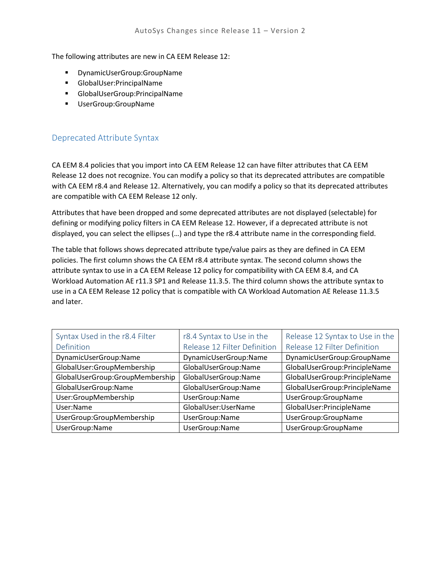The following attributes are new in CA EEM Release 12:

- DynamicUserGroup:GroupName
- GlobalUser:PrincipalName
- GlobalUserGroup:PrincipalName
- **UserGroup:GroupName**

### Deprecated Attribute Syntax

CA EEM 8.4 policies that you import into CA EEM Release 12 can have filter attributes that CA EEM Release 12 does not recognize. You can modify a policy so that its deprecated attributes are compatible with CA EEM r8.4 and Release 12. Alternatively, you can modify a policy so that its deprecated attributes are compatible with CA EEM Release 12 only.

Attributes that have been dropped and some deprecated attributes are not displayed (selectable) for defining or modifying policy filters in CA EEM Release 12. However, if a deprecated attribute is not displayed, you can select the ellipses (…) and type the r8.4 attribute name in the corresponding field.

The table that follows shows deprecated attribute type/value pairs as they are defined in CA EEM policies. The first column shows the CA EEM r8.4 attribute syntax. The second column shows the attribute syntax to use in a CA EEM Release 12 policy for compatibility with CA EEM 8.4, and CA Workload Automation AE r11.3 SP1 and Release 11.3.5. The third column shows the attribute syntax to use in a CA EEM Release 12 policy that is compatible with CA Workload Automation AE Release 11.3.5 and later.

<span id="page-48-0"></span>

| Syntax Used in the r8.4 Filter  | r8.4 Syntax to Use in the    | Release 12 Syntax to Use in the |
|---------------------------------|------------------------------|---------------------------------|
| Definition                      | Release 12 Filter Definition | Release 12 Filter Definition    |
| DynamicUserGroup:Name           | DynamicUserGroup:Name        | DynamicUserGroup:GroupName      |
| GlobalUser:GroupMembership      | GlobalUserGroup:Name         | GlobalUserGroup:PrincipleName   |
| GlobalUserGroup:GroupMembership | GlobalUserGroup:Name         | GlobalUserGroup:PrincipleName   |
| GlobalUserGroup:Name            | GlobalUserGroup:Name         | GlobalUserGroup:PrincipleName   |
| User:GroupMembership            | UserGroup:Name               | UserGroup:GroupName             |
| User:Name                       | GlobalUser:UserName          | GlobalUser:PrincipleName        |
| UserGroup:GroupMembership       | UserGroup:Name               | UserGroup:GroupName             |
| UserGroup:Name                  | UserGroup:Name               | UserGroup:GroupName             |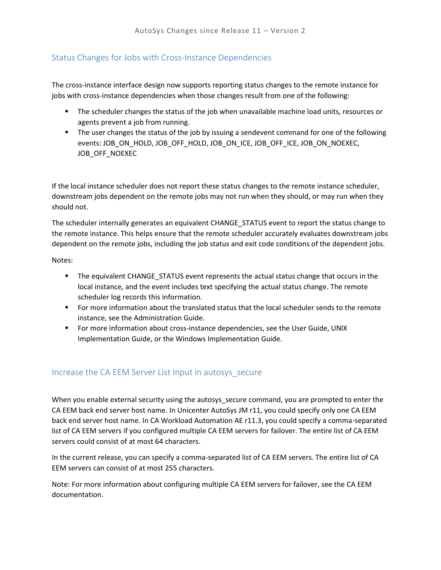## Status Changes for Jobs with Cross-Instance Dependencies

The cross-instance interface design now supports reporting status changes to the remote instance for jobs with cross-instance dependencies when those changes result from one of the following:

- **The scheduler changes the status of the job when unavailable machine load units, resources or** agents prevent a job from running.
- **The user changes the status of the job by issuing a sendevent command for one of the following** events: JOB\_ON\_HOLD, JOB\_OFF\_HOLD, JOB\_ON\_ICE, JOB\_OFF\_ICE, JOB\_ON\_NOEXEC, JOB\_OFF\_NOEXEC

If the local instance scheduler does not report these status changes to the remote instance scheduler, downstream jobs dependent on the remote jobs may not run when they should, or may run when they should not.

The scheduler internally generates an equivalent CHANGE\_STATUS event to report the status change to the remote instance. This helps ensure that the remote scheduler accurately evaluates downstream jobs dependent on the remote jobs, including the job status and exit code conditions of the dependent jobs.

Notes:

- **The equivalent CHANGE STATUS event represents the actual status change that occurs in the** local instance, and the event includes text specifying the actual status change. The remote scheduler log records this information.
- For more information about the translated status that the local scheduler sends to the remote instance, see the Administration Guide.
- **For more information about cross-instance dependencies, see the User Guide, UNIX** Implementation Guide, or the Windows Implementation Guide.

### <span id="page-49-0"></span>Increase the CA EEM Server List Input in autosys\_secure

When you enable external security using the autosys\_secure command, you are prompted to enter the CA EEM back end server host name. In Unicenter AutoSys JM r11, you could specify only one CA EEM back end server host name. In CA Workload Automation AE r11.3, you could specify a comma-separated list of CA EEM servers if you configured multiple CA EEM servers for failover. The entire list of CA EEM servers could consist of at most 64 characters.

In the current release, you can specify a comma-separated list of CA EEM servers. The entire list of CA EEM servers can consist of at most 255 characters.

Note: For more information about configuring multiple CA EEM servers for failover, see the CA EEM documentation.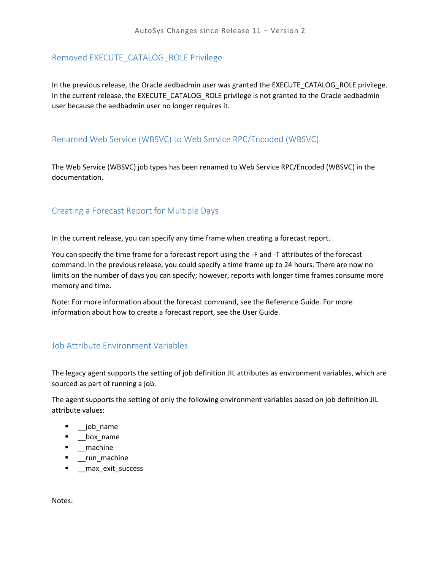#### <span id="page-50-0"></span>Removed EXECUTE\_CATALOG\_ROLE Privilege

In the previous release, the Oracle aedbadmin user was granted the EXECUTE\_CATALOG\_ROLE privilege. In the current release, the EXECUTE\_CATALOG\_ROLE privilege is not granted to the Oracle aedbadmin user because the aedbadmin user no longer requires it.

#### <span id="page-50-1"></span>Renamed Web Service (WBSVC) to Web Service RPC/Encoded (WBSVC)

The Web Service (WBSVC) job types has been renamed to Web Service RPC/Encoded (WBSVC) in the documentation.

#### <span id="page-50-2"></span>Creating a Forecast Report for Multiple Days

In the current release, you can specify any time frame when creating a forecast report.

You can specify the time frame for a forecast report using the -F and -T attributes of the forecast command. In the previous release, you could specify a time frame up to 24 hours. There are now no limits on the number of days you can specify; however, reports with longer time frames consume more memory and time.

Note: For more information about the forecast command, see the Reference Guide. For more information about how to create a forecast report, see the User Guide.

#### <span id="page-50-3"></span>Job Attribute Environment Variables

The legacy agent supports the setting of job definition JIL attributes as environment variables, which are sourced as part of running a job.

The agent supports the setting of only the following environment variables based on job definition JIL attribute values:

- \_\_job\_name
- **-** \_\_box\_name
- **-** \_machine
- **-** \_run\_machine
- \_\_max\_exit\_success

Notes: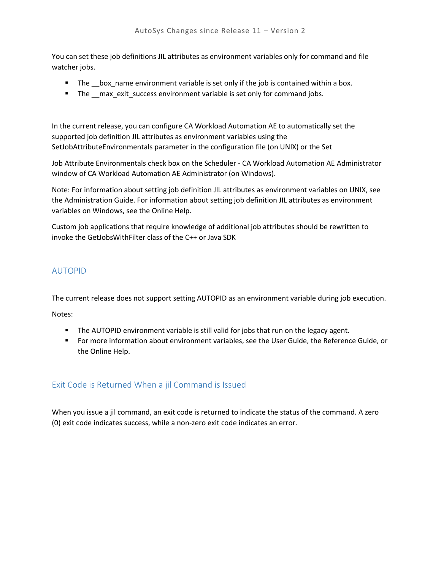You can set these job definitions JIL attributes as environment variables only for command and file watcher jobs.

- The box\_name environment variable is set only if the job is contained within a box.
- The max exit success environment variable is set only for command jobs.

In the current release, you can configure CA Workload Automation AE to automatically set the supported job definition JIL attributes as environment variables using the SetJobAttributeEnvironmentals parameter in the configuration file (on UNIX) or the Set

Job Attribute Environmentals check box on the Scheduler - CA Workload Automation AE Administrator window of CA Workload Automation AE Administrator (on Windows).

Note: For information about setting job definition JIL attributes as environment variables on UNIX, see the Administration Guide. For information about setting job definition JIL attributes as environment variables on Windows, see the Online Help.

Custom job applications that require knowledge of additional job attributes should be rewritten to invoke the GetJobsWithFilter class of the C++ or Java SDK

## <span id="page-51-0"></span>AUTOPID

The current release does not support setting AUTOPID as an environment variable during job execution.

Notes:

- **The AUTOPID environment variable is still valid for jobs that run on the legacy agent.**
- For more information about environment variables, see the User Guide, the Reference Guide, or the Online Help.

### <span id="page-51-1"></span>Exit Code is Returned When a jil Command is Issued

<span id="page-51-2"></span>When you issue a jil command, an exit code is returned to indicate the status of the command. A zero (0) exit code indicates success, while a non-zero exit code indicates an error.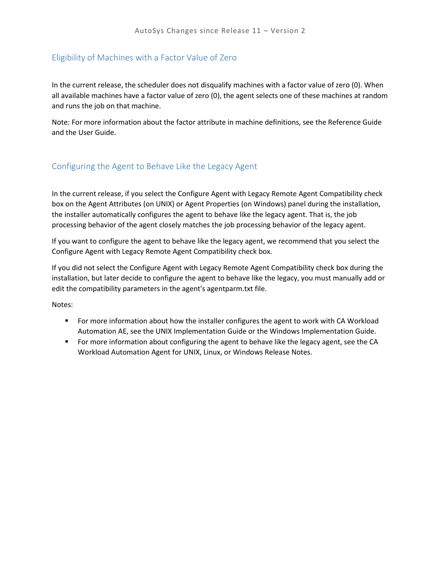### Eligibility of Machines with a Factor Value of Zero

In the current release, the scheduler does not disqualify machines with a factor value of zero (0). When all available machines have a factor value of zero (0), the agent selects one of these machines at random and runs the job on that machine.

Note: For more information about the factor attribute in machine definitions, see the Reference Guide and the User Guide.

#### <span id="page-52-0"></span>Configuring the Agent to Behave Like the Legacy Agent

In the current release, if you select the Configure Agent with Legacy Remote Agent Compatibility check box on the Agent Attributes (on UNIX) or Agent Properties (on Windows) panel during the installation, the installer automatically configures the agent to behave like the legacy agent. That is, the job processing behavior of the agent closely matches the job processing behavior of the legacy agent.

If you want to configure the agent to behave like the legacy agent, we recommend that you select the Configure Agent with Legacy Remote Agent Compatibility check box.

If you did not select the Configure Agent with Legacy Remote Agent Compatibility check box during the installation, but later decide to configure the agent to behave like the legacy, you must manually add or edit the compatibility parameters in the agent's agentparm.txt file.

Notes:

- **For more information about how the installer configures the agent to work with CA Workload** Automation AE, see the UNIX Implementation Guide or the Windows Implementation Guide.
- **Formore information about configuring the agent to behave like the legacy agent, see the CA** Workload Automation Agent for UNIX, Linux, or Windows Release Notes.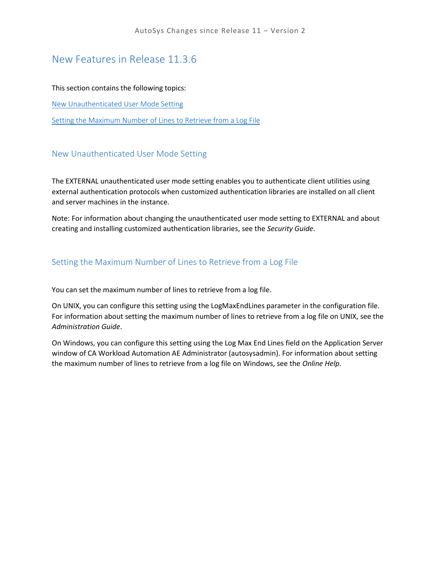## New Features in Release 11.3.6

#### This section contains the following topics:

[New Unauthenticated User Mode Setting](#page-53-0)

[Setting the Maximum Number of Lines to Retrieve from a Log File](#page-53-1)

#### <span id="page-53-0"></span>New Unauthenticated User Mode Setting

The EXTERNAL unauthenticated user mode setting enables you to authenticate client utilities using external authentication protocols when customized authentication libraries are installed on all client and server machines in the instance.

Note: For information about changing the unauthenticated user mode setting to EXTERNAL and about creating and installing customized authentication libraries, see the *Security Guide*.

#### <span id="page-53-1"></span>Setting the Maximum Number of Lines to Retrieve from a Log File

You can set the maximum number of lines to retrieve from a log file.

On UNIX, you can configure this setting using the LogMaxEndLines parameter in the configuration file. For information about setting the maximum number of lines to retrieve from a log file on UNIX, see the *Administration Guide*.

On Windows, you can configure this setting using the Log Max End Lines field on the Application Server window of CA Workload Automation AE Administrator (autosysadmin). For information about setting the maximum number of lines to retrieve from a log file on Windows, see the *Online Help*.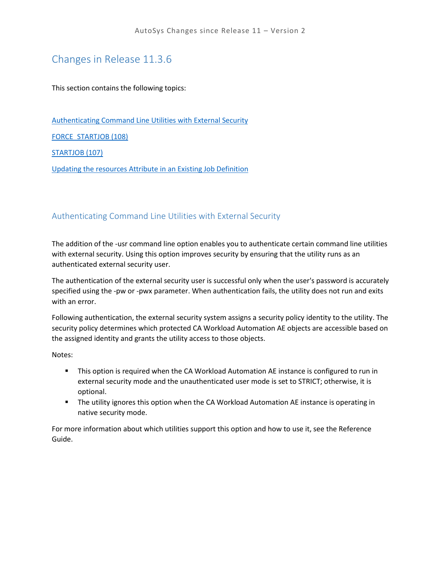# Changes in Release 11.3.6

This section contains the following topics:

[Authenticating Command Line Utilities with External Security](#page-54-0)

[FORCE\\_STARTJOB \(108\)](#page-54-1)

[STARTJOB \(107\)](#page-55-0)

[Updating the resources Attribute in an Existing Job Definition](#page-55-1)

#### <span id="page-54-0"></span>Authenticating Command Line Utilities with External Security

The addition of the -usr command line option enables you to authenticate certain command line utilities with external security. Using this option improves security by ensuring that the utility runs as an authenticated external security user.

The authentication of the external security user is successful only when the user's password is accurately specified using the -pw or -pwx parameter. When authentication fails, the utility does not run and exits with an error.

Following authentication, the external security system assigns a security policy identity to the utility. The security policy determines which protected CA Workload Automation AE objects are accessible based on the assigned identity and grants the utility access to those objects.

Notes:

- **This option is required when the CA Workload Automation AE instance is configured to run in** external security mode and the unauthenticated user mode is set to STRICT; otherwise, it is optional.
- **The utility ignores this option when the CA Workload Automation AE instance is operating in** native security mode.

<span id="page-54-1"></span>For more information about which utilities support this option and how to use it, see the Reference Guide.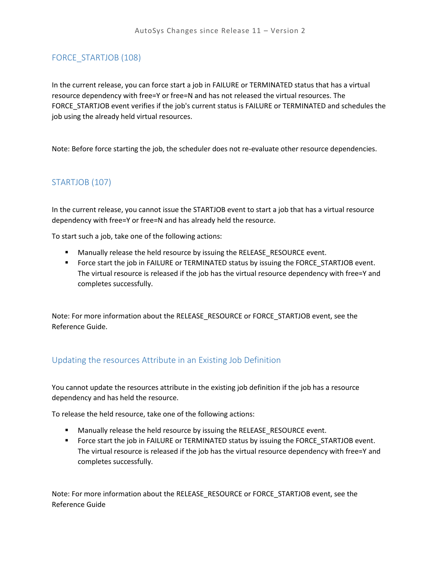## FORCE\_STARTJOB (108)

In the current release, you can force start a job in FAILURE or TERMINATED status that has a virtual resource dependency with free=Y or free=N and has not released the virtual resources. The FORCE\_STARTJOB event verifies if the job's current status is FAILURE or TERMINATED and schedules the job using the already held virtual resources.

Note: Before force starting the job, the scheduler does not re-evaluate other resource dependencies.

## <span id="page-55-0"></span>STARTJOB (107)

In the current release, you cannot issue the STARTJOB event to start a job that has a virtual resource dependency with free=Y or free=N and has already held the resource.

To start such a job, take one of the following actions:

- **Manually release the held resource by issuing the RELEASE\_RESOURCE event.**
- **FIOR 1** Force start the job in FAILURE or TERMINATED status by issuing the FORCE\_STARTJOB event. The virtual resource is released if the job has the virtual resource dependency with free=Y and completes successfully.

Note: For more information about the RELEASE\_RESOURCE or FORCE\_STARTJOB event, see the Reference Guide.

### <span id="page-55-1"></span>Updating the resources Attribute in an Existing Job Definition

You cannot update the resources attribute in the existing job definition if the job has a resource dependency and has held the resource.

To release the held resource, take one of the following actions:

- **Manually release the held resource by issuing the RELEASE\_RESOURCE event.**
- **FIOR 1** Force start the job in FAILURE or TERMINATED status by issuing the FORCE\_STARTJOB event. The virtual resource is released if the job has the virtual resource dependency with free=Y and completes successfully.

Note: For more information about the RELEASE\_RESOURCE or FORCE\_STARTJOB event, see the Reference Guide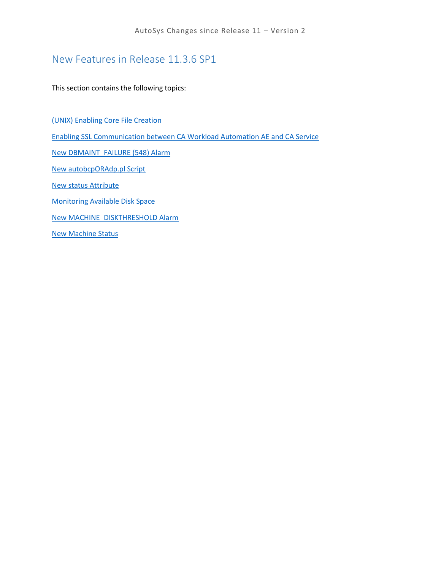# New Features in Release 11.3.6 SP1

This section contains the following topics:

[\(UNIX\) Enabling Core File Creation](#page-57-0) [Enabling SSL Communication between CA Workload Automation AE and CA Service](#page-57-1) [New DBMAINT\\_FAILURE \(548\) Alarm](#page-57-2) [New autobcpORAdp.pl Script](#page-57-3) [New status Attribute](#page-58-0) [Monitoring Available Disk Space](#page-58-1) [New MACHINE\\_DISKTHRESHOLD Alarm](#page-58-2) [New Machine Status](#page-58-3)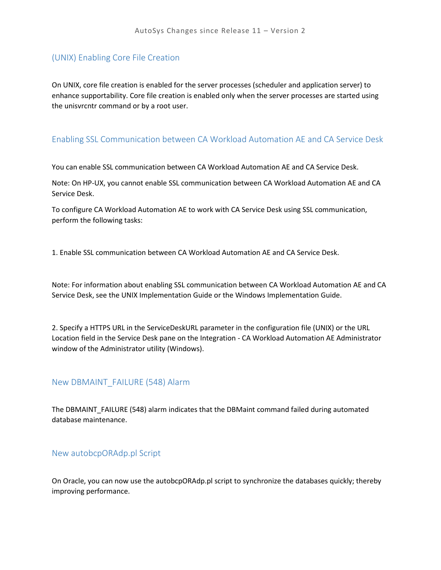#### <span id="page-57-0"></span>(UNIX) Enabling Core File Creation

On UNIX, core file creation is enabled for the server processes (scheduler and application server) to enhance supportability. Core file creation is enabled only when the server processes are started using the unisvrcntr command or by a root user.

#### <span id="page-57-1"></span>Enabling SSL Communication between CA Workload Automation AE and CA Service Desk

You can enable SSL communication between CA Workload Automation AE and CA Service Desk.

Note: On HP-UX, you cannot enable SSL communication between CA Workload Automation AE and CA Service Desk.

To configure CA Workload Automation AE to work with CA Service Desk using SSL communication, perform the following tasks:

1. Enable SSL communication between CA Workload Automation AE and CA Service Desk.

Note: For information about enabling SSL communication between CA Workload Automation AE and CA Service Desk, see the UNIX Implementation Guide or the Windows Implementation Guide.

2. Specify a HTTPS URL in the ServiceDeskURL parameter in the configuration file (UNIX) or the URL Location field in the Service Desk pane on the Integration - CA Workload Automation AE Administrator window of the Administrator utility (Windows).

#### <span id="page-57-2"></span>New DBMAINT\_FAILURE (548) Alarm

The DBMAINT\_FAILURE (548) alarm indicates that the DBMaint command failed during automated database maintenance.

#### <span id="page-57-3"></span>New autobcpORAdp.pl Script

On Oracle, you can now use the autobcpORAdp.pl script to synchronize the databases quickly; thereby improving performance.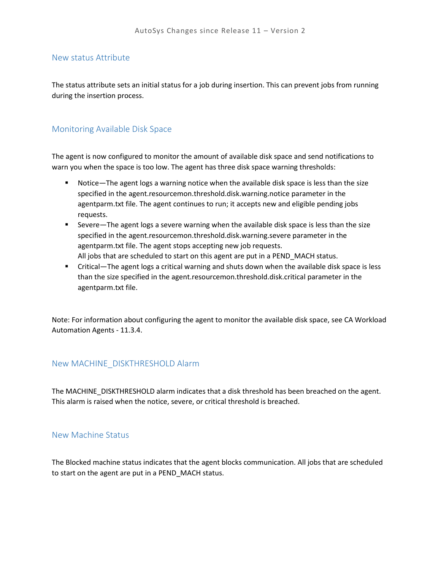#### <span id="page-58-0"></span>New status Attribute

The status attribute sets an initial status for a job during insertion. This can prevent jobs from running during the insertion process.

#### <span id="page-58-1"></span>Monitoring Available Disk Space

The agent is now configured to monitor the amount of available disk space and send notifications to warn you when the space is too low. The agent has three disk space warning thresholds:

- Notice—The agent logs a warning notice when the available disk space is less than the size specified in the agent.resourcemon.threshold.disk.warning.notice parameter in the agentparm.txt file. The agent continues to run; it accepts new and eligible pending jobs requests.
- Severe—The agent logs a severe warning when the available disk space is less than the size specified in the agent.resourcemon.threshold.disk.warning.severe parameter in the agentparm.txt file. The agent stops accepting new job requests. All jobs that are scheduled to start on this agent are put in a PEND\_MACH status.
- Critical—The agent logs a critical warning and shuts down when the available disk space is less than the size specified in the agent.resourcemon.threshold.disk.critical parameter in the agentparm.txt file.

Note: For information about configuring the agent to monitor the available disk space, see CA Workload Automation Agents - 11.3.4.

#### <span id="page-58-2"></span>New MACHINE\_DISKTHRESHOLD Alarm

The MACHINE\_DISKTHRESHOLD alarm indicates that a disk threshold has been breached on the agent. This alarm is raised when the notice, severe, or critical threshold is breached.

#### <span id="page-58-3"></span>New Machine Status

The Blocked machine status indicates that the agent blocks communication. All jobs that are scheduled to start on the agent are put in a PEND\_MACH status.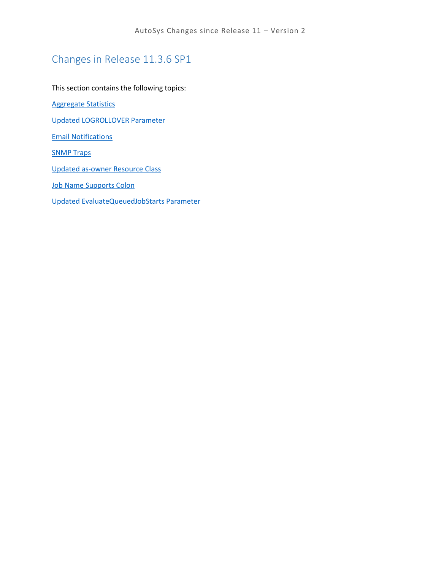# Changes in Release 11.3.6 SP1

This section contains the following topics:

[Aggregate Statistics](#page-60-0)

[Updated LOGROLLOVER Parameter](#page-60-1)

[Email Notifications](#page-60-2)

**[SNMP Traps](#page-61-0)** 

[Updated as-owner Resource Class](#page-61-1)

[Job Name Supports Colon](#page-61-2)

[Updated EvaluateQueuedJobStarts Parameter](#page-62-0)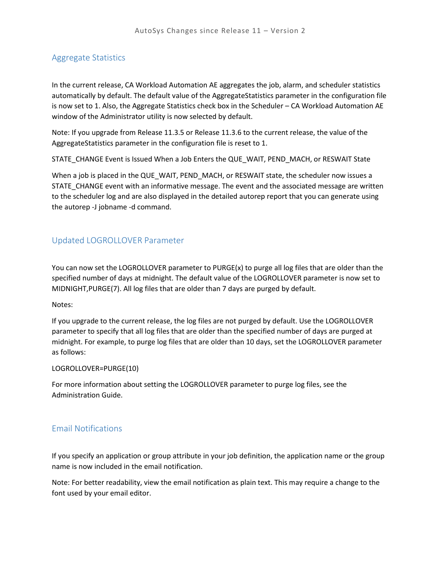#### <span id="page-60-0"></span>Aggregate Statistics

In the current release, CA Workload Automation AE aggregates the job, alarm, and scheduler statistics automatically by default. The default value of the AggregateStatistics parameter in the configuration file is now set to 1. Also, the Aggregate Statistics check box in the Scheduler – CA Workload Automation AE window of the Administrator utility is now selected by default.

Note: If you upgrade from Release 11.3.5 or Release 11.3.6 to the current release, the value of the AggregateStatistics parameter in the configuration file is reset to 1.

STATE\_CHANGE Event is Issued When a Job Enters the QUE\_WAIT, PEND\_MACH, or RESWAIT State

When a job is placed in the QUE\_WAIT, PEND\_MACH, or RESWAIT state, the scheduler now issues a STATE\_CHANGE event with an informative message. The event and the associated message are written to the scheduler log and are also displayed in the detailed autorep report that you can generate using the autorep -J jobname -d command.

#### <span id="page-60-1"></span>Updated LOGROLLOVER Parameter

You can now set the LOGROLLOVER parameter to PURGE(x) to purge all log files that are older than the specified number of days at midnight. The default value of the LOGROLLOVER parameter is now set to MIDNIGHT,PURGE(7). All log files that are older than 7 days are purged by default.

#### Notes:

If you upgrade to the current release, the log files are not purged by default. Use the LOGROLLOVER parameter to specify that all log files that are older than the specified number of days are purged at midnight. For example, to purge log files that are older than 10 days, set the LOGROLLOVER parameter as follows:

#### LOGROLLOVER=PURGE(10)

For more information about setting the LOGROLLOVER parameter to purge log files, see the Administration Guide.

#### <span id="page-60-2"></span>Email Notifications

If you specify an application or group attribute in your job definition, the application name or the group name is now included in the email notification.

Note: For better readability, view the email notification as plain text. This may require a change to the font used by your email editor.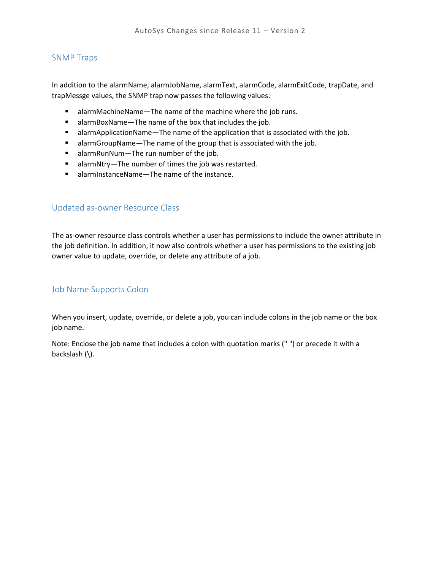#### <span id="page-61-0"></span>SNMP Traps

In addition to the alarmName, alarmJobName, alarmText, alarmCode, alarmExitCode, trapDate, and trapMessge values, the SNMP trap now passes the following values:

- alarmMachineName—The name of the machine where the job runs.
- alarmBoxName—The name of the box that includes the job.
- alarmApplicationName—The name of the application that is associated with the job.
- alarmGroupName—The name of the group that is associated with the job.
- alarmRunNum—The run number of the job.
- alarmNtry—The number of times the job was restarted.
- alarmInstanceName—The name of the instance.

#### <span id="page-61-1"></span>Updated as-owner Resource Class

The as-owner resource class controls whether a user has permissions to include the owner attribute in the job definition. In addition, it now also controls whether a user has permissions to the existing job owner value to update, override, or delete any attribute of a job.

#### <span id="page-61-2"></span>Job Name Supports Colon

When you insert, update, override, or delete a job, you can include colons in the job name or the box job name.

Note: Enclose the job name that includes a colon with quotation marks (" ") or precede it with a backslash (\).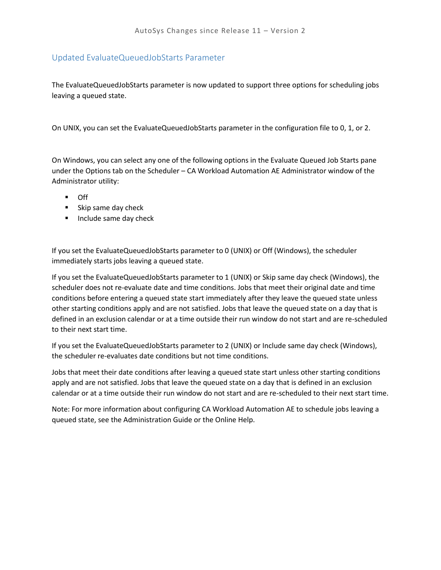### <span id="page-62-0"></span>Updated EvaluateQueuedJobStarts Parameter

The EvaluateQueuedJobStarts parameter is now updated to support three options for scheduling jobs leaving a queued state.

On UNIX, you can set the EvaluateQueuedJobStarts parameter in the configuration file to 0, 1, or 2.

On Windows, you can select any one of the following options in the Evaluate Queued Job Starts pane under the Options tab on the Scheduler – CA Workload Automation AE Administrator window of the Administrator utility:

- Off
- **Skip same day check**
- **Include same day check**

If you set the EvaluateQueuedJobStarts parameter to 0 (UNIX) or Off (Windows), the scheduler immediately starts jobs leaving a queued state.

If you set the EvaluateQueuedJobStarts parameter to 1 (UNIX) or Skip same day check (Windows), the scheduler does not re-evaluate date and time conditions. Jobs that meet their original date and time conditions before entering a queued state start immediately after they leave the queued state unless other starting conditions apply and are not satisfied. Jobs that leave the queued state on a day that is defined in an exclusion calendar or at a time outside their run window do not start and are re-scheduled to their next start time.

If you set the EvaluateQueuedJobStarts parameter to 2 (UNIX) or Include same day check (Windows), the scheduler re-evaluates date conditions but not time conditions.

Jobs that meet their date conditions after leaving a queued state start unless other starting conditions apply and are not satisfied. Jobs that leave the queued state on a day that is defined in an exclusion calendar or at a time outside their run window do not start and are re-scheduled to their next start time.

Note: For more information about configuring CA Workload Automation AE to schedule jobs leaving a queued state, see the Administration Guide or the Online Help.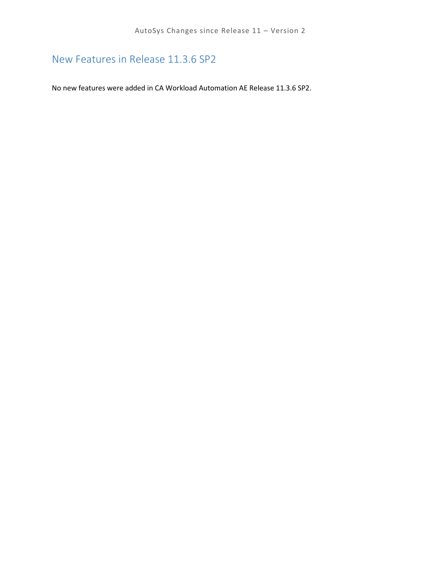# New Features in Release 11.3.6 SP2

No new features were added in CA Workload Automation AE Release 11.3.6 SP2.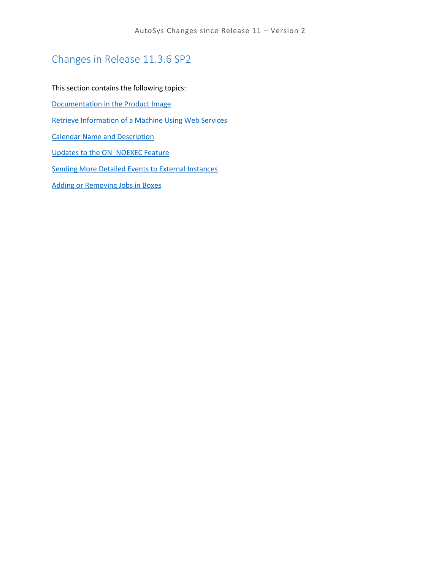# Changes in Release 11.3.6 SP2

This section contains the following topics:

[Documentation in the Product Image](#page-65-0)

[Retrieve Information of a Machine Using Web Services](#page-65-1)

[Calendar Name and Description](#page-65-2)

[Updates to the ON\\_NOEXEC Feature](#page-65-3)

[Sending More Detailed Events to External Instances](#page-66-0)

[Adding or Removing Jobs in](#page-66-1) Boxes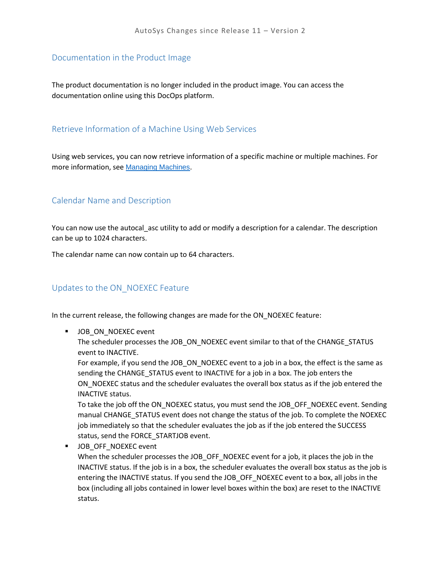#### <span id="page-65-0"></span>Documentation in the Product Image

The product documentation is no longer included in the product image. You can access the documentation online using this DocOps platform.

#### <span id="page-65-1"></span>Retrieve Information of a Machine Using Web Services

Using web services, you can now retrieve information of a specific machine or multiple machines. For more information, see [Managing Machines](https://wiki.ca.com/display/AE1136SP2p/Managing+Machines).

#### <span id="page-65-2"></span>Calendar Name and Description

You can now use the autocal\_asc utility to add or modify a description for a calendar. The description can be up to 1024 characters.

The calendar name can now contain up to 64 characters.

### <span id="page-65-3"></span>Updates to the ON\_NOEXEC Feature

In the current release, the following changes are made for the ON\_NOEXEC feature:

**JOB\_ON\_NOEXEC event** 

The scheduler processes the JOB\_ON\_NOEXEC event similar to that of the CHANGE\_STATUS event to INACTIVE.

For example, if you send the JOB\_ON\_NOEXEC event to a job in a box, the effect is the same as sending the CHANGE\_STATUS event to INACTIVE for a job in a box. The job enters the ON\_NOEXEC status and the scheduler evaluates the overall box status as if the job entered the INACTIVE status.

To take the job off the ON\_NOEXEC status, you must send the JOB\_OFF\_NOEXEC event. Sending manual CHANGE\_STATUS event does not change the status of the job. To complete the NOEXEC job immediately so that the scheduler evaluates the job as if the job entered the SUCCESS status, send the FORCE\_STARTJOB event.

 JOB\_OFF\_NOEXEC event When the scheduler processes the JOB\_OFF\_NOEXEC event for a job, it places the job in the INACTIVE status. If the job is in a box, the scheduler evaluates the overall box status as the job is entering the INACTIVE status. If you send the JOB\_OFF\_NOEXEC event to a box, all jobs in the box (including all jobs contained in lower level boxes within the box) are reset to the INACTIVE status.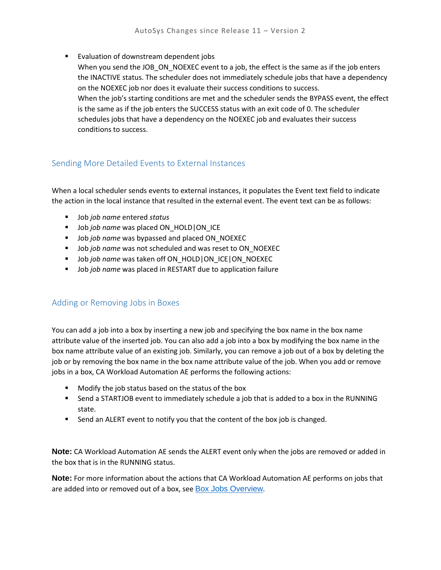**Evaluation of downstream dependent jobs** 

When you send the JOB\_ON\_NOEXEC event to a job, the effect is the same as if the job enters the INACTIVE status. The scheduler does not immediately schedule jobs that have a dependency on the NOEXEC job nor does it evaluate their success conditions to success. When the job's starting conditions are met and the scheduler sends the BYPASS event, the effect is the same as if the job enters the SUCCESS status with an exit code of 0. The scheduler schedules jobs that have a dependency on the NOEXEC job and evaluates their success conditions to success.

## <span id="page-66-0"></span>Sending More Detailed Events to External Instances

When a local scheduler sends events to external instances, it populates the Event text field to indicate the action in the local instance that resulted in the external event. The event text can be as follows:

- Job *job name* entered *status*
- **Job** *job name* was placed ON\_HOLD|ON\_ICE
- **Job** *job name* was bypassed and placed ON\_NOEXEC
- Job *job name* was not scheduled and was reset to ON\_NOEXEC
- Job *job name* was taken off ON\_HOLD|ON\_ICE|ON\_NOEXEC
- Job *job name* was placed in RESTART due to application failure

### <span id="page-66-1"></span>Adding or Removing Jobs in Boxes

You can add a job into a box by inserting a new job and specifying the box name in the box name attribute value of the inserted job. You can also add a job into a box by modifying the box name in the box name attribute value of an existing job. Similarly, you can remove a job out of a box by deleting the job or by removing the box name in the box name attribute value of the job. When you add or remove jobs in a box, CA Workload Automation AE performs the following actions:

- **Modify the job status based on the status of the box**
- Send a STARTJOB event to immediately schedule a job that is added to a box in the RUNNING state.
- **Send an ALERT event to notify you that the content of the box job is changed.**

**Note:** CA Workload Automation AE sends the ALERT event only when the jobs are removed or added in the box that is in the RUNNING status.

**Note:** For more information about the actions that CA Workload Automation AE performs on jobs that are added into or removed out of a box, see **[Box Jobs Overview](https://wiki.ca.com/display/AE1136SP2p/Box+Jobs+Overview)**.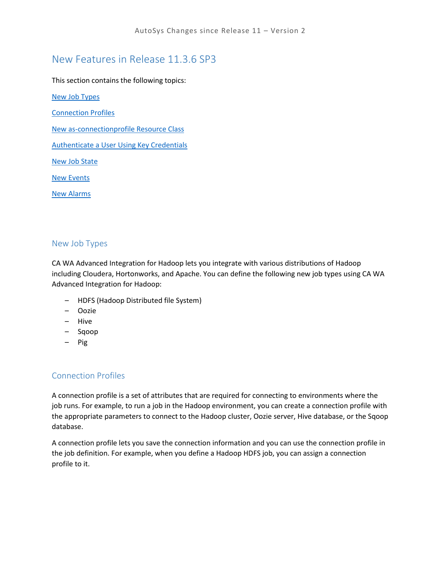# New Features in Release 11.3.6 SP3

This section contains the following topics:

[New Job Types](#page-67-0)

[Connection Profiles](#page-67-1)

[New as-connectionprofile Resource Class](#page-68-0)

[Authenticate a User Using Key Credentials](#page-68-1)

[New Job State](#page-68-2)

[New Events](#page-69-0)

[New Alarms](#page-69-1)

### <span id="page-67-0"></span>New Job Types

CA WA Advanced Integration for Hadoop lets you integrate with various distributions of Hadoop including Cloudera, Hortonworks, and Apache. You can define the following new job types using CA WA Advanced Integration for Hadoop:

- HDFS (Hadoop Distributed file System)
- Oozie
- Hive
- Sqoop
- Pig

## <span id="page-67-1"></span>Connection Profiles

A connection profile is a set of attributes that are required for connecting to environments where the job runs. For example, to run a job in the Hadoop environment, you can create a connection profile with the appropriate parameters to connect to the Hadoop cluster, Oozie server, Hive database, or the Sqoop database.

A connection profile lets you save the connection information and you can use the connection profile in the job definition. For example, when you define a Hadoop HDFS job, you can assign a connection profile to it.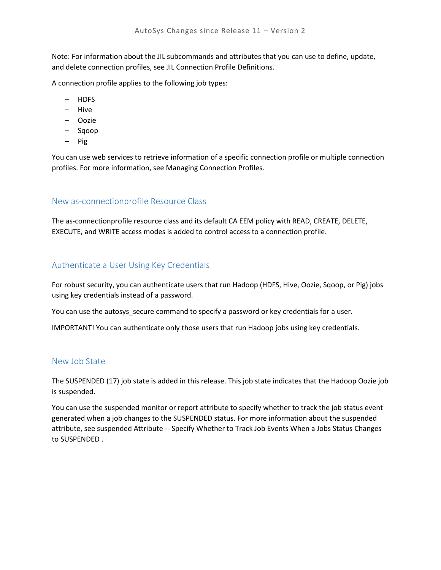Note: For information about the JIL subcommands and attributes that you can use to define, update, and delete connection profiles, see JIL Connection Profile Definitions.

A connection profile applies to the following job types:

- HDFS
- Hive
- Oozie
- Sqoop
- Pig

You can use web services to retrieve information of a specific connection profile or multiple connection profiles. For more information, see Managing Connection Profiles.

#### <span id="page-68-0"></span>New as-connectionprofile Resource Class

The as-connectionprofile resource class and its default CA EEM policy with READ, CREATE, DELETE, EXECUTE, and WRITE access modes is added to control access to a connection profile.

#### <span id="page-68-1"></span>Authenticate a User Using Key Credentials

For robust security, you can authenticate users that run Hadoop (HDFS, Hive, Oozie, Sqoop, or Pig) jobs using key credentials instead of a password.

You can use the autosys\_secure command to specify a password or key credentials for a user.

IMPORTANT! You can authenticate only those users that run Hadoop jobs using key credentials.

#### <span id="page-68-2"></span>New Job State

The SUSPENDED (17) job state is added in this release. This job state indicates that the Hadoop Oozie job is suspended.

You can use the suspended monitor or report attribute to specify whether to track the job status event generated when a job changes to the SUSPENDED status. For more information about the suspended attribute, see suspended Attribute -- Specify Whether to Track Job Events When a Jobs Status Changes to SUSPENDED .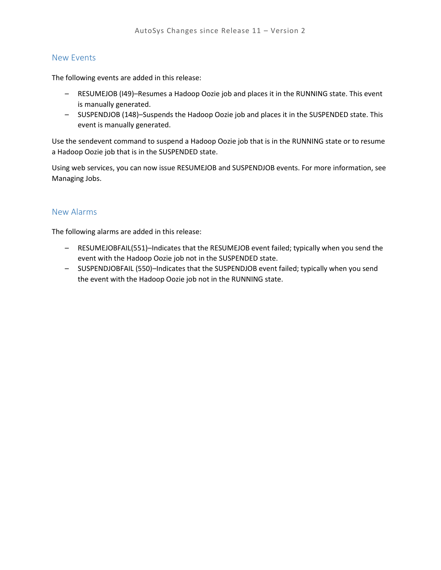#### <span id="page-69-0"></span>New Events

The following events are added in this release:

- RESUMEJOB (I49)–Resumes a Hadoop Oozie job and places it in the RUNNING state. This event is manually generated.
- SUSPENDJOB (148)–Suspends the Hadoop Oozie job and places it in the SUSPENDED state. This event is manually generated.

Use the sendevent command to suspend a Hadoop Oozie job that is in the RUNNING state or to resume a Hadoop Oozie job that is in the SUSPENDED state.

Using web services, you can now issue RESUMEJOB and SUSPENDJOB events. For more information, see Managing Jobs.

#### <span id="page-69-1"></span>New Alarms

The following alarms are added in this release:

- RESUMEJOBFAIL(551)–Indicates that the RESUMEJOB event failed; typically when you send the event with the Hadoop Oozie job not in the SUSPENDED state.
- SUSPENDJOBFAIL (550)–Indicates that the SUSPENDJOB event failed; typically when you send the event with the Hadoop Oozie job not in the RUNNING state.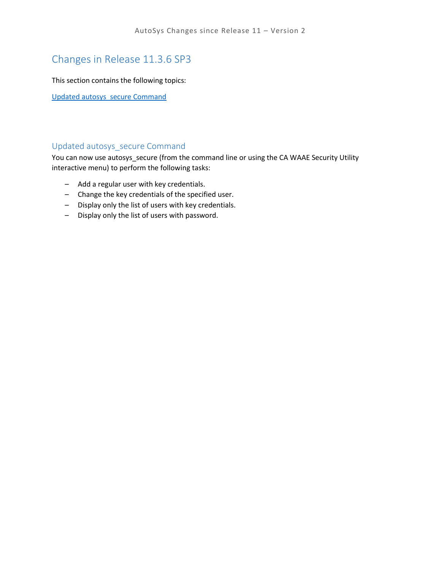# Changes in Release 11.3.6 SP3

This section contains the following topics:

[Updated autosys\\_secure Command](#page-70-0)

#### <span id="page-70-0"></span>Updated autosys\_secure Command

You can now use autosys\_secure (from the command line or using the CA WAAE Security Utility interactive menu) to perform the following tasks:

- Add a regular user with key credentials.
- Change the key credentials of the specified user.
- Display only the list of users with key credentials.
- Display only the list of users with password.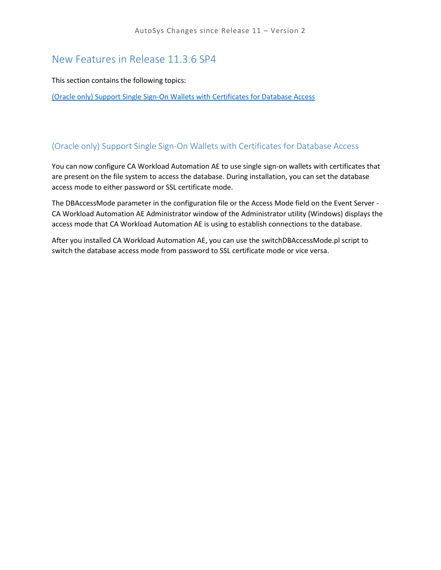## New Features in Release 11.3.6 SP4

This section contains the following topics:

[\(Oracle only\) Support Single Sign-On Wallets with Certificates for Database Access](#page-71-0)

### <span id="page-71-0"></span>(Oracle only) Support Single Sign-On Wallets with Certificates for Database Access

You can now configure CA Workload Automation AE to use single sign-on wallets with certificates that are present on the file system to access the database. During installation, you can set the database access mode to either password or SSL certificate mode.

The DBAccessMode parameter in the configuration file or the Access Mode field on the Event Server - CA Workload Automation AE Administrator window of the Administrator utility (Windows) displays the access mode that CA Workload Automation AE is using to establish connections to the database.

After you installed CA Workload Automation AE, you can use the switchDBAccessMode.pl script to switch the database access mode from password to SSL certificate mode or vice versa.